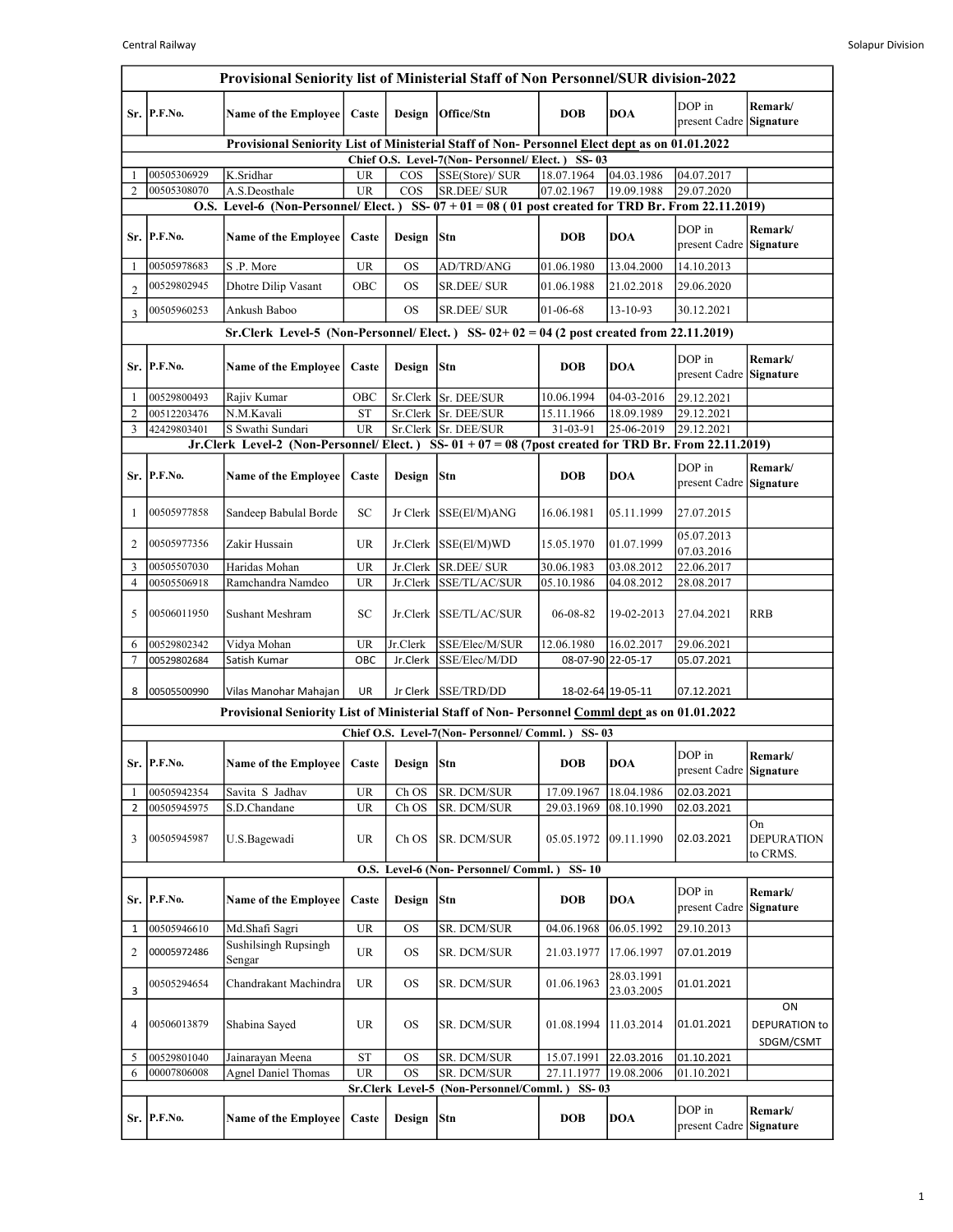|                      | Provisional Seniority list of Ministerial Staff of Non Personnel/SUR division-2022 |                                                                                                      |                 |                          |                                                                   |                          |                          |                                   |                                     |  |  |
|----------------------|------------------------------------------------------------------------------------|------------------------------------------------------------------------------------------------------|-----------------|--------------------------|-------------------------------------------------------------------|--------------------------|--------------------------|-----------------------------------|-------------------------------------|--|--|
|                      | Sr. P.F.No.                                                                        | Name of the Employee                                                                                 | Caste           | Design                   | Office/Stn                                                        | <b>DOB</b>               | <b>DOA</b>               | DOP in<br>present Cadre Signature | Remark/                             |  |  |
|                      |                                                                                    | Provisional Seniority List of Ministerial Staff of Non- Personnel Elect dept as on 01.01.2022        |                 |                          |                                                                   |                          |                          |                                   |                                     |  |  |
|                      | 00505306929                                                                        | K.Sridhar                                                                                            | <b>UR</b>       | $\cos$                   | Chief O.S. Level-7(Non-Personnel/Elect.) SS-03<br>SSE(Store)/ SUR | 18.07.1964               | 04.03.1986               | 04.07.2017                        |                                     |  |  |
| $\overline{2}$       | 00505308070                                                                        | A.S.Deosthale                                                                                        | <b>UR</b>       | $\cos$                   | SR.DEE/ SUR                                                       | 07.02.1967               | 19.09.1988               | 29.07.2020                        |                                     |  |  |
|                      |                                                                                    | O.S. Level-6 (Non-Personnel/Elect.) SS- $07 + 01 = 08$ (01 post created for TRD Br. From 22.11.2019) |                 |                          |                                                                   |                          |                          |                                   |                                     |  |  |
|                      | Sr. P.F.No.                                                                        | <b>Name of the Employee</b>                                                                          | Caste           | Design                   | Stn                                                               | <b>DOB</b>               | <b>DOA</b>               | DOP in<br>present Cadre Signature | Remark/                             |  |  |
| -1                   | 00505978683                                                                        | S.P. More                                                                                            | <b>UR</b>       | OS                       | AD/TRD/ANG                                                        | 01.06.1980               | 13.04.2000               | 14.10.2013                        |                                     |  |  |
| $\overline{2}$       | 00529802945                                                                        | Dhotre Dilip Vasant                                                                                  | OBC             | <b>OS</b>                | <b>SR.DEE/SUR</b>                                                 | 01.06.1988               | 21.02.2018               | 29.06.2020                        |                                     |  |  |
| 3                    | 00505960253                                                                        | Ankush Baboo                                                                                         |                 | <b>OS</b>                | SR.DEE/ SUR                                                       | 01-06-68                 | 13-10-93                 | 30.12.2021                        |                                     |  |  |
|                      |                                                                                    | Sr.Clerk Level-5 (Non-Personnel/Elect.) SS- $02+02=04$ (2 post created from 22.11.2019)              |                 |                          |                                                                   |                          |                          |                                   |                                     |  |  |
|                      | Sr. P.F.No.                                                                        | <b>Name of the Employee</b>                                                                          | Caste           | Design                   | Stn                                                               | <b>DOB</b>               | <b>DOA</b>               | DOP in<br>present Cadre           | Remark/<br><b>Signature</b>         |  |  |
| $\mathbf{1}$         | 00529800493                                                                        | Rajiv Kumar                                                                                          | OBC             |                          | Sr.Clerk Sr. DEE/SUR                                              | 10.06.1994               | 04-03-2016               | 29.12.2021                        |                                     |  |  |
| $\overline{2}$       | 00512203476                                                                        | N.M.Kavali                                                                                           | <b>ST</b>       |                          | Sr.Clerk Sr. DEE/SUR                                              | 15.11.1966               | 18.09.1989               | 29.12.2021                        |                                     |  |  |
| 3                    | 42429803401                                                                        | S Swathi Sundari                                                                                     | <b>UR</b>       |                          | Sr.Clerk Sr. DEE/SUR                                              | 31-03-91                 | 25-06-2019               | 29.12.2021                        |                                     |  |  |
|                      |                                                                                    | Jr.Clerk Level-2 (Non-Personnel/Elect.) SS-01 + 07 = 08 (7post created for TRD Br. From 22.11.2019)  |                 |                          |                                                                   |                          |                          |                                   |                                     |  |  |
|                      | Sr. P.F.No.                                                                        | <b>Name of the Employee</b>                                                                          | Caste           | Design                   | Stn                                                               | <b>DOB</b>               | <b>DOA</b>               | DOP in<br>present Cadre Signature | Remark/                             |  |  |
| 1                    | 00505977858                                                                        | Sandeep Babulal Borde                                                                                | SC              | Jr Clerk                 | SSE(El/M)ANG                                                      | 16.06.1981               | 05.11.1999               | 27.07.2015                        |                                     |  |  |
| 2                    | 00505977356                                                                        | Zakir Hussain                                                                                        | <b>UR</b>       |                          | Jr.Clerk SSE(El/M)WD                                              | 15.05.1970               | 01.07.1999               | 05.07.2013<br>07.03.2016          |                                     |  |  |
| 3                    | 00505507030                                                                        | Haridas Mohan                                                                                        | <b>UR</b>       | Jr.Clerk                 | <b>SR.DEE/ SUR</b>                                                | 30.06.1983               | 03.08.2012               | 22.06.2017                        |                                     |  |  |
| $\overline{4}$       | 00505506918                                                                        | Ramchandra Namdeo                                                                                    | <b>UR</b>       | Jr.Clerk                 | SSE/TL/AC/SUR                                                     | 05.10.1986               | 04.08.2012               | 28.08.2017                        |                                     |  |  |
| 5                    | 00506011950                                                                        | Sushant Meshram                                                                                      | <b>SC</b>       | Jr.Clerk                 | <b>SSE/TL/AC/SUR</b>                                              | 06-08-82                 | 19-02-2013               | 27.04.2021                        | <b>RRB</b>                          |  |  |
| 6                    | 00529802342                                                                        | Vidya Mohan                                                                                          | <b>UR</b>       | Jr.Clerk                 | SSE/Elec/M/SUR                                                    | 12.06.1980               | 16.02.2017               | 29.06.2021                        |                                     |  |  |
| 7                    | 00529802684                                                                        | Satish Kumar                                                                                         | OBC             | Jr.Clerk                 | SSE/Elec/M/DD                                                     |                          | 08-07-90 22-05-17        | 05.07.2021                        |                                     |  |  |
| 8                    | 00505500990                                                                        | Vilas Manohar Mahajan                                                                                | UR              | Jr Clerk                 | <b>SSE/TRD/DD</b>                                                 |                          | 18-02-64 19-05-11        | 07.12.2021                        |                                     |  |  |
|                      |                                                                                    | Provisional Seniority List of Ministerial Staff of Non-Personnel Comml dept as on 01.01.2022         |                 |                          |                                                                   |                          |                          |                                   |                                     |  |  |
|                      | Sr. P.F.No.                                                                        | Name of the Employee                                                                                 | Caste           | Design                   | Chief O.S. Level-7(Non-Personnel/Comml.) SS-03<br><b>Stn</b>      | <b>DOB</b>               | DOA                      | DOP in<br>present Cadre Signature | Remark/                             |  |  |
|                      |                                                                                    |                                                                                                      |                 |                          |                                                                   |                          | 18.04.1986               |                                   |                                     |  |  |
| -1<br>$\overline{2}$ | 00505942354<br>00505945975                                                         | Savita S Jadhav<br>S.D.Chandane                                                                      | <b>UR</b><br>UR | ${\rm Ch\; OS}$<br>Ch OS | SR. DCM/SUR<br>SR. DCM/SUR                                        | 17.09.1967<br>29.03.1969 | 08.10.1990               | 02.03.2021<br>02.03.2021          |                                     |  |  |
| 3                    | 00505945987                                                                        | U.S.Bagewadi                                                                                         | UR              | Ch OS                    | SR. DCM/SUR                                                       | 05.05.1972               | 09.11.1990               | 02.03.2021                        | On<br><b>DEPURATION</b><br>to CRMS. |  |  |
|                      |                                                                                    |                                                                                                      |                 |                          | O.S. Level-6 (Non- Personnel/ Comml.)                             | $SS-10$                  |                          |                                   |                                     |  |  |
|                      | Sr. P.F.No.                                                                        | <b>Name of the Employee</b>                                                                          | Caste           | Design                   | Stn                                                               | <b>DOB</b>               | <b>DOA</b>               | DOP in<br>present Cadre           | Remark/<br>Signature                |  |  |
| 1                    | 00505946610                                                                        | Md.Shafi Sagri                                                                                       | UR              | <b>OS</b>                | SR. DCM/SUR                                                       | 04.06.1968               | 06.05.1992               | 29.10.2013                        |                                     |  |  |
| 2                    | 00005972486                                                                        | <b>Sushilsingh Rupsingh</b><br>Sengar                                                                | UR              | <b>OS</b>                | SR. DCM/SUR                                                       | 21.03.1977               | 17.06.1997               | 07.01.2019                        |                                     |  |  |
| 3                    | 00505294654                                                                        | Chandrakant Machindra                                                                                | UR              | <b>OS</b>                | SR. DCM/SUR                                                       | 01.06.1963               | 28.03.1991<br>23.03.2005 | 01.01.2021                        |                                     |  |  |
| 4                    | 00506013879                                                                        | Shabina Sayed                                                                                        | UR              | OS.                      | SR. DCM/SUR                                                       | 01.08.1994               | 11.03.2014               | 01.01.2021                        | ON<br>DEPURATION to<br>SDGM/CSMT    |  |  |
| 5                    | 00529801040                                                                        | Jainarayan Meena                                                                                     | <b>ST</b>       | OS                       | SR. DCM/SUR                                                       | 15.07.1991               | 22.03.2016               | 01.10.2021                        |                                     |  |  |
| 6                    | 00007806008                                                                        | <b>Agnel Daniel Thomas</b>                                                                           | <b>UR</b>       | <b>OS</b>                | SR. DCM/SUR<br>Sr.Clerk Level-5 (Non-Personnel/Comml.) SS-03      | 27.11.1977               | 19.08.2006               | 01.10.2021                        |                                     |  |  |
|                      | Sr. P.F.No.                                                                        | <b>Name of the Employee</b>                                                                          | Caste           | Design                   | Stn                                                               | <b>DOB</b>               | <b>DOA</b>               | DOP in<br>present Cadre           | Remark/<br>Signature                |  |  |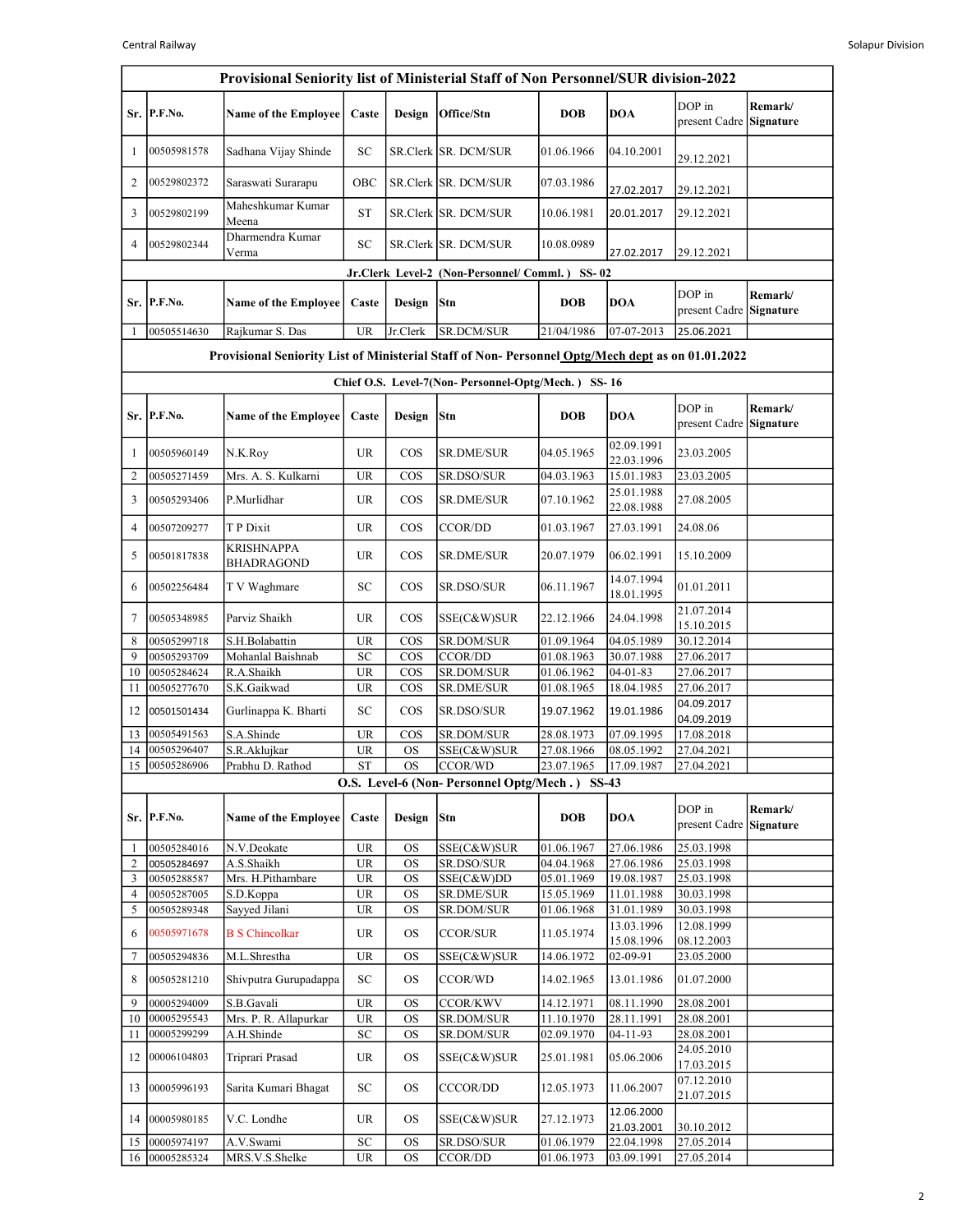| Provisional Seniority list of Ministerial Staff of Non Personnel/SUR division-2022               |                            |                                 |                                                 |                        |                                                           |                          |                          |                                   |                      |  |  |
|--------------------------------------------------------------------------------------------------|----------------------------|---------------------------------|-------------------------------------------------|------------------------|-----------------------------------------------------------|--------------------------|--------------------------|-----------------------------------|----------------------|--|--|
|                                                                                                  | Sr. P.F.No.                | <b>Name of the Employee</b>     | Caste                                           | Design                 | Office/Stn                                                | <b>DOB</b>               | <b>DOA</b>               | DOP in<br>present Cadre           | Remark/<br>Signature |  |  |
| -1                                                                                               | 00505981578                | Sadhana Vijay Shinde            | SC                                              |                        | SR.Clerk SR. DCM/SUR                                      | 01.06.1966               | 04.10.2001               | 29.12.2021                        |                      |  |  |
| 2                                                                                                | 00529802372                | Saraswati Surarapu              | OBC                                             |                        | SR.Clerk SR. DCM/SUR                                      | 07.03.1986               | 27.02.2017               | 29.12.2021                        |                      |  |  |
| 3                                                                                                | 00529802199                | Maheshkumar Kumar<br>Meena      | <b>ST</b>                                       |                        | SR.Clerk SR. DCM/SUR                                      | 10.06.1981               | 20.01.2017               | 29.12.2021                        |                      |  |  |
| $\overline{4}$                                                                                   | 00529802344                | Dharmendra Kumar<br>Verma       | $\ensuremath{\mathbf{SC}}$                      |                        | SR.Clerk SR. DCM/SUR                                      | 10.08.0989               | 27.02.2017               | 29.12.2021                        |                      |  |  |
|                                                                                                  |                            |                                 |                                                 |                        | Jr.Clerk Level-2 (Non-Personnel/Comml.) SS-02             |                          |                          |                                   |                      |  |  |
|                                                                                                  | Sr. P.F.No.                | <b>Name of the Employee</b>     | Caste                                           | Design Stn             |                                                           | <b>DOB</b>               | <b>DOA</b>               | DOP in<br>present Cadre           | Remark/<br>Signature |  |  |
| -1                                                                                               | 00505514630                | Rajkumar S. Das                 | <b>UR</b>                                       | Jr.Clerk               | SR.DCM/SUR                                                | 21/04/1986               | 07-07-2013               | 25.06.2021                        |                      |  |  |
| Provisional Seniority List of Ministerial Staff of Non-Personnel Optg/Mech dept as on 01.01.2022 |                            |                                 |                                                 |                        |                                                           |                          |                          |                                   |                      |  |  |
| Chief O.S. Level-7(Non-Personnel-Optg/Mech.) SS-16                                               |                            |                                 |                                                 |                        |                                                           |                          |                          |                                   |                      |  |  |
|                                                                                                  | Sr. P.F.No.                | <b>Name of the Employee</b>     | Caste                                           | Design                 | Stn                                                       | <b>DOB</b>               | <b>DOA</b>               | DOP in<br>present Cadre           | Remark/<br>Signature |  |  |
| -1                                                                                               | 00505960149                | N.K.Roy                         | <b>UR</b>                                       | COS                    | <b>SR.DME/SUR</b>                                         | 04.05.1965               | 02.09.1991<br>22.03.1996 | 23.03.2005                        |                      |  |  |
| $\overline{2}$                                                                                   | 00505271459                | Mrs. A. S. Kulkarni             | <b>UR</b>                                       | $\cos$                 | <b>SR.DSO/SUR</b>                                         | 04.03.1963               | 15.01.1983               | 23.03.2005                        |                      |  |  |
| 3                                                                                                | 00505293406                | P.Murlidhar                     | <b>UR</b>                                       | COS                    | <b>SR.DME/SUR</b>                                         | 07.10.1962               | 25.01.1988<br>22.08.1988 | 27.08.2005                        |                      |  |  |
| $\overline{4}$                                                                                   | 00507209277                | T P Dixit                       | <b>UR</b>                                       | $\cos$                 | CCOR/DD                                                   | 01.03.1967               | 27.03.1991               | 24.08.06                          |                      |  |  |
| 5                                                                                                | 00501817838                | KRISHNAPPA<br><b>BHADRAGOND</b> | <b>UR</b>                                       | COS                    | <b>SR.DME/SUR</b>                                         | 20.07.1979               | 06.02.1991               | 15.10.2009                        |                      |  |  |
| 6                                                                                                | 00502256484                | T V Waghmare                    | SC                                              | $\cos$                 | SR.DSO/SUR                                                | 06.11.1967               | 14.07.1994<br>18.01.1995 | 01.01.2011                        |                      |  |  |
| 7                                                                                                | 00505348985                | Parviz Shaikh                   | <b>UR</b>                                       | $\cos$                 | SSE(C&W)SUR                                               | 22.12.1966               | 24.04.1998               | 21.07.2014<br>15.10.2015          |                      |  |  |
| 8<br>9                                                                                           | 00505299718                | S.H.Bolabattin                  | UR                                              | COS                    | SR.DOM/SUR                                                | 01.09.1964               | 04.05.1989               | 30.12.2014                        |                      |  |  |
| 10                                                                                               | 00505293709<br>00505284624 | Mohanlal Baishnab<br>R.A.Shaikh | SC<br><b>UR</b>                                 | $\cos$<br>$\cos$       | <b>CCOR/DD</b><br>SR.DOM/SUR                              | 01.08.1963<br>01.06.1962 | 30.07.1988<br>$04-01-83$ | 27.06.2017<br>27.06.2017          |                      |  |  |
| 11                                                                                               | 00505277670                | S.K.Gaikwad                     | <b>UR</b>                                       | $\cos$                 | <b>SR.DME/SUR</b>                                         | 01.08.1965               | 18.04.1985               | 27.06.2017                        |                      |  |  |
| 12                                                                                               | 00501501434                | Gurlinappa K. Bharti            | SC                                              | $\cos$                 | SR.DSO/SUR                                                | 19.07.1962               | 19.01.1986               | 04.09.2017<br>04.09.2019          |                      |  |  |
| 13                                                                                               | 00505491563                | S.A.Shinde                      | <b>UR</b>                                       | $\cos$                 | <b>SR.DOM/SUR</b>                                         | 28.08.1973               | 07.09.1995               | 17.08.2018                        |                      |  |  |
| 14                                                                                               | 00505296407                | S.R.Aklujkar                    | <b>UR</b>                                       | <b>OS</b>              | SSE(C&W)SUR                                               | 27.08.1966               | 08.05.1992               | 27.04.2021                        |                      |  |  |
|                                                                                                  | 15 00505286906             | Prabhu D. Rathod                | <b>ST</b>                                       | <b>OS</b>              | CCOR/WD<br>O.S. Level-6 (Non- Personnel Optg/Mech.) SS-43 | 23.07.1965               | 17.09.1987               | 27.04.2021                        |                      |  |  |
|                                                                                                  |                            |                                 |                                                 |                        |                                                           |                          |                          |                                   |                      |  |  |
|                                                                                                  | Sr. P.F.No.                | <b>Name of the Employee</b>     | Caste                                           | Design                 | Stn                                                       | <b>DOB</b>               | <b>DOA</b>               | DOP in<br>present Cadre Signature | Remark/              |  |  |
| -1                                                                                               | 00505284016                | N.V.Deokate                     | UR                                              | <b>OS</b>              | SSE(C&W)SUR                                               | 01.06.1967               | 27.06.1986               | 25.03.1998                        |                      |  |  |
| $\overline{\mathbf{c}}$                                                                          | 00505284697                | A.S.Shaikh                      | $\ensuremath{\mathsf{UR}}\xspace$               | <b>OS</b>              | SR.DSO/SUR                                                | 04.04.1968               | 27.06.1986               | 25.03.1998                        |                      |  |  |
| 3<br>$\overline{4}$                                                                              | 00505288587<br>00505287005 | Mrs. H.Pithambare<br>S.D.Koppa  | <b>UR</b><br>UR                                 | <b>OS</b><br><b>OS</b> | SSE(C&W)DD<br>SR.DME/SUR                                  | 05.01.1969<br>15.05.1969 | 19.08.1987<br>11.01.1988 | 25.03.1998<br>30.03.1998          |                      |  |  |
| 5                                                                                                | 00505289348                | Sayyed Jilani                   | UR                                              | OS                     | SR.DOM/SUR                                                | 01.06.1968               | 31.01.1989               | 30.03.1998                        |                      |  |  |
| 6                                                                                                | 00505971678                | <b>B S Chincolkar</b>           | UR                                              | <b>OS</b>              | CCOR/SUR                                                  | 11.05.1974               | 13.03.1996<br>15.08.1996 | 12.08.1999<br>08.12.2003          |                      |  |  |
| 7                                                                                                | 00505294836                | M.L.Shrestha                    | <b>UR</b>                                       | OS                     | SSE(C&W)SUR                                               | 14.06.1972               | 02-09-91                 | 23.05.2000                        |                      |  |  |
| 8                                                                                                | 00505281210                | Shivputra Gurupadappa           | SC                                              | <b>OS</b>              | CCOR/WD                                                   | 14.02.1965               | 13.01.1986               | 01.07.2000                        |                      |  |  |
| 9                                                                                                | 00005294009                | S.B.Gavali                      | <b>UR</b>                                       | OS                     | CCOR/KWV                                                  | 14.12.1971               | 08.11.1990               | 28.08.2001                        |                      |  |  |
| 10                                                                                               | 00005295543                | Mrs. P. R. Allapurkar           | $\ensuremath{\mathsf{UR}}\xspace$               | <b>OS</b>              | SR.DOM/SUR                                                | 11.10.1970               | 28.11.1991               | 28.08.2001                        |                      |  |  |
| 11<br>12                                                                                         | 00005299299<br>00006104803 | A.H.Shinde<br>Triprari Prasad   | ${\rm SC}$<br>$\ensuremath{\mathsf{UR}}\xspace$ | <b>OS</b><br><b>OS</b> | SR.DOM/SUR<br>SSE(C&W)SUR                                 | 02.09.1970<br>25.01.1981 | 04-11-93<br>05.06.2006   | 28.08.2001<br>24.05.2010          |                      |  |  |
| 13                                                                                               | 00005996193                | Sarita Kumari Bhagat            | ${\rm SC}$                                      | <b>OS</b>              | CCCOR/DD                                                  | 12.05.1973               | 11.06.2007               | 17.03.2015<br>07.12.2010          |                      |  |  |
| 14                                                                                               | 00005980185                | V.C. Londhe                     | <b>UR</b>                                       | <b>OS</b>              | SSE(C&W)SUR                                               | 27.12.1973               | 12.06.2000               | 21.07.2015                        |                      |  |  |
| 15                                                                                               | 00005974197                | A.V.Swami                       | ${\rm SC}$                                      | <b>OS</b>              | SR.DSO/SUR                                                | 01.06.1979               | 21.03.2001<br>22.04.1998 | 30.10.2012<br>27.05.2014          |                      |  |  |
| 16                                                                                               | 00005285324                | MRS.V.S.Shelke                  | $\ensuremath{\mathsf{UR}}\xspace$               | <b>OS</b>              | CCOR/DD                                                   | 01.06.1973               | 03.09.1991               | 27.05.2014                        |                      |  |  |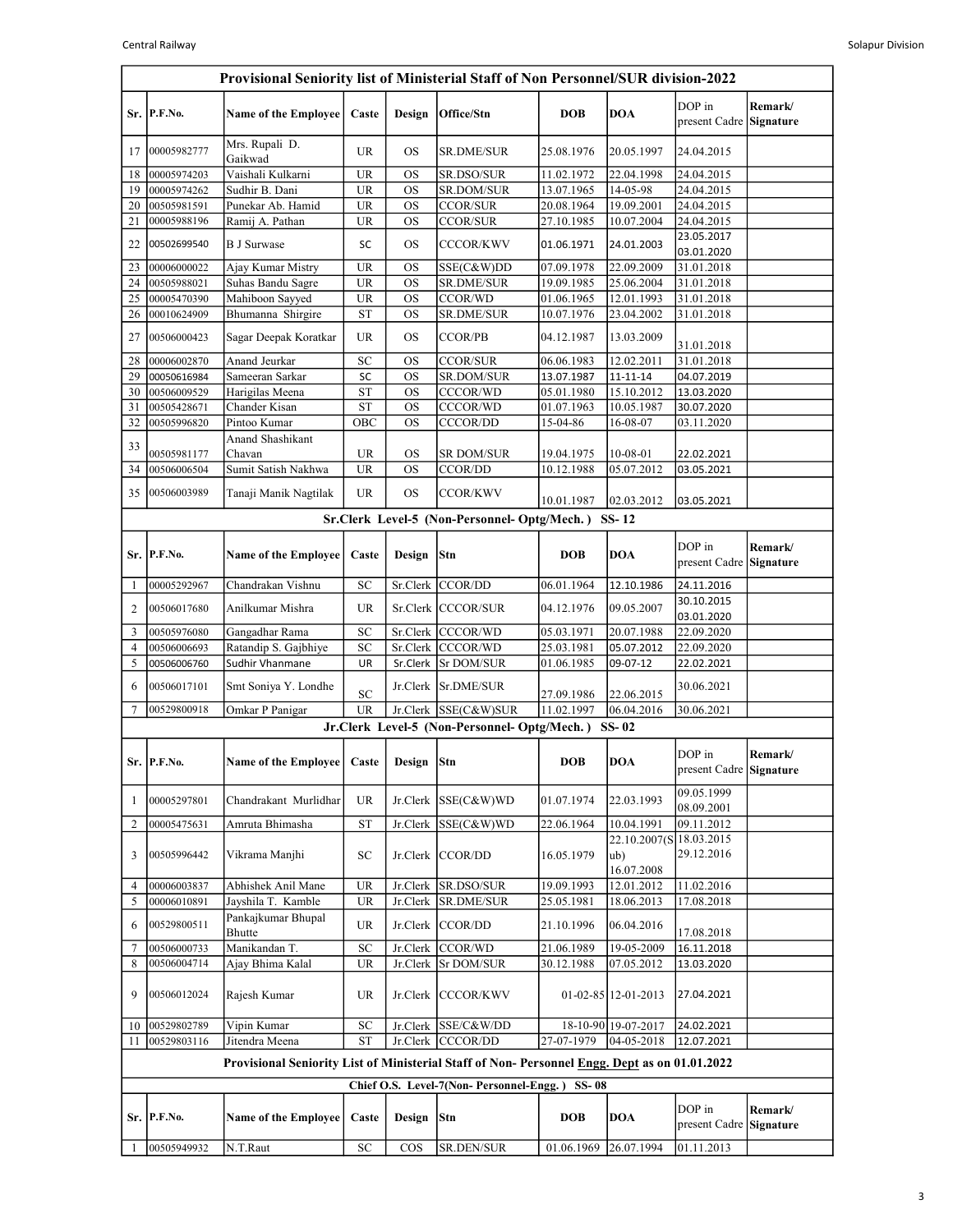| DOP in<br>Remark/<br>Sr. P.F.No.<br><b>Name of the Employee</b><br>Caste<br>Design<br>Office/Stn<br><b>DOB</b><br><b>DOA</b><br>present Cadre Signature<br>Mrs. Rupali D.<br>00005982777<br>UR<br>OS<br>SR.DME/SUR<br>25.08.1976<br>20.05.1997<br>24.04.2015<br>17<br>Gaikwad<br>Vaishali Kulkarni<br><b>UR</b><br><b>OS</b><br>SR.DSO/SUR<br>11.02.1972<br>22.04.1998<br>24.04.2015<br>18<br>00005974203<br>13.07.1965<br>00005974262<br>Sudhir B. Dani<br><b>UR</b><br>SR.DOM/SUR<br>14-05-98<br>24.04.2015<br>19<br><b>OS</b><br>$\overline{UR}$<br>Punekar Ab. Hamid<br><b>OS</b><br><b>CCOR/SUR</b><br>20.08.1964<br>19.09.2001<br>24.04.2015<br>00505981591<br>20<br><b>UR</b><br><b>OS</b><br><b>CCOR/SUR</b><br>27.10.1985<br>00005988196<br>Ramij A. Pathan<br>10.07.2004<br>24.04.2015<br>21<br>23.05.2017<br><b>B J Surwase</b><br><b>OS</b><br><b>CCCOR/KWV</b><br>22<br>00502699540<br>SC<br>01.06.1971<br>24.01.2003<br>03.01.2020<br><b>UR</b><br>22.09.2009<br>Ajay Kumar Mistry<br><b>OS</b><br>07.09.1978<br>31.01.2018<br>23<br>00006000022<br>SSE(C&W)DD<br>Suhas Bandu Sagre<br>00505988021<br><b>UR</b><br>SR.DME/SUR<br>19.09.1985<br>25.06.2004<br>31.01.2018<br>24<br><b>OS</b><br>Mahiboon Sayyed<br><b>UR</b><br>CCOR/WD<br>25<br>00005470390<br><b>OS</b><br>01.06.1965<br>12.01.1993<br>31.01.2018<br>Bhumanna Shirgire<br><b>ST</b><br><b>OS</b><br>SR.DME/SUR<br>10.07.1976<br>00010624909<br>23.04.2002<br>31.01.2018<br>26<br><b>OS</b><br>00506000423<br>Sagar Deepak Koratkar<br>UR<br><b>CCOR/PB</b><br>27<br>04.12.1987<br>13.03.2009<br>31.01.2018<br>31.01.2018<br>SC<br>00006002870<br>Anand Jeurkar<br><b>OS</b><br><b>CCOR/SUR</b><br>06.06.1983<br>12.02.2011<br>28<br>Sameeran Sarkar<br>29<br>00050616984<br>SR.DOM/SUR<br>13.07.1987<br>SC<br><b>OS</b><br>$11 - 11 - 14$<br>04.07.2019<br><b>ST</b><br>05.01.1980<br>00506009529<br>Harigilas Meena<br><b>OS</b><br>CCCOR/WD<br>15.10.2012<br>13.03.2020<br>30<br>Chander Kisan<br><b>ST</b><br><b>OS</b><br>CCCOR/WD<br>$\overline{01.07}.1963$<br>10.05.1987<br>31<br>00505428671<br>30.07.2020<br>32<br>00505996820<br>Pintoo Kumar<br>OBC<br><b>OS</b><br><b>CCCOR/DD</b><br>15-04-86<br>16-08-07<br>03.11.2020<br>Anand Shashikant<br>33<br>00505981177<br>Chavan<br><b>UR</b><br><b>OS</b><br><b>SR DOM/SUR</b><br>19.04.1975<br>10-08-01<br>22.02.2021<br>Sumit Satish Nakhwa<br><b>UR</b><br><b>OS</b><br><b>CCOR/DD</b><br>10.12.1988<br>05.07.2012<br>34<br>00506006504<br>03.05.2021<br>Tanaji Manik Nagtilak<br>UR<br><b>OS</b><br><b>CCOR/KWV</b><br>35<br>00506003989<br>10.01.1987<br>02.03.2012<br>03.05.2021<br>Sr.Clerk Level-5 (Non-Personnel-Optg/Mech.) SS-12<br>DOP in<br>Remark/<br>Sr. P.F.No.<br>Design<br>Stn<br><b>DOB</b><br><b>DOA</b><br><b>Name of the Employee</b><br>Caste<br>present Cadre Signature<br>00005292967<br>Chandrakan Vishnu<br>SC<br>Sr.Clerk CCOR/DD<br>06.01.1964<br>12.10.1986<br>24.11.2016<br>П<br>30.10.2015<br>Anilkumar Mishra<br><b>UR</b><br>Sr.Clerk CCCOR/SUR<br>09.05.2007<br>$\overline{2}$<br>00506017680<br>04.12.1976<br>03.01.2020<br>SC<br>00505976080<br>Gangadhar Rama<br>Sr.Clerk CCCOR/WD<br>05.03.1971<br>20.07.1988<br>22.09.2020<br>3<br>Ratandip S. Gajbhiye<br>SC<br>Sr.Clerk CCCOR/WD<br>25.03.1981<br>22.09.2020<br>$\overline{4}$<br>00506006693<br>05.07.2012<br>5<br>Sudhir Vhanmane<br>UR<br>Sr.Clerk<br><b>Sr DOM/SUR</b><br>01.06.1985<br>09-07-12<br>22.02.2021<br>00506006760<br>00506017101<br>Jr.Clerk Sr.DME/SUR<br>30.06.2021<br>Smt Soniya Y. Londhe<br>6<br>SC<br>27.09.1986<br>22.06.2015<br><b>UR</b><br>$\overline{7}$<br>00529800918<br>Omkar P Panigar<br>Jr.Clerk SSE(C&W)SUR<br>11.02.1997<br>06.04.2016<br>30.06.2021<br>Jr.Clerk Level-5 (Non-Personnel-Optg/Mech.) SS-02<br>DOP in<br>Remark/<br>Sr. P.F.No.<br>Name of the Employee   Caste   Design   Stn<br><b>DOA</b><br><b>DOB</b><br>present Cadre Signature<br>09.05.1999<br>00005297801<br>Jr.Clerk $SSE(C&W)WD$<br>01.07.1974<br>22.03.1993<br>Chandrakant Murlidhar<br><b>UR</b><br>1<br>08.09.2001<br>Amruta Bhimasha<br><b>ST</b><br>09.11.2012<br>$\overline{2}$<br>00005475631<br>Jr.Clerk<br>SSE(C&W)WD<br>22.06.1964<br>10.04.1991<br>22.10.2007(S 18.03.2015<br>29.12.2016<br>00505996442<br>Vikrama Manjhi<br>Jr.Clerk CCOR/DD<br>16.05.1979<br>ub)<br>3<br>SC<br>16.07.2008<br>00006003837<br>Abhishek Anil Mane<br><b>UR</b><br>Jr.Clerk<br>SR.DSO/SUR<br>19.09.1993<br>12.01.2012<br>11.02.2016<br>4<br>00006010891<br>Jayshila T. Kamble<br>Jr.Clerk SR.DME/SUR<br>25.05.1981<br>5<br><b>UR</b><br>18.06.2013<br>17.08.2018<br>Pankajkumar Bhupal<br>00529800511<br>Jr.Clerk CCOR/DD<br>21.10.1996<br>06.04.2016<br>UR<br>6<br>Bhutte<br>17.08.2018<br>Manikandan T.<br>CCOR/WD<br>$\ensuremath{\mathbf{SC}}$<br>21.06.1989<br>Jr.Clerk<br>19-05-2009<br>7<br>00506000733<br>16.11.2018<br>8<br>00506004714<br>Ajay Bhima Kalal<br>UR<br>Jr.Clerk   Sr DOM/SUR<br>30.12.1988<br>07.05.2012<br>13.03.2020<br>Rajesh Kumar<br>Jr.Clerk CCCOR/KWV<br>$01 - 02 - 85$   12-01-2013<br>27.04.2021<br>9<br>00506012024<br>UR<br>Vipin Kumar<br>Jr.Clerk SSE/C&W/DD<br>00529802789<br>SC<br>18-10-90 19-07-2017<br>24.02.2021<br>10<br>00529803116<br><b>ST</b><br>Jr.Clerk CCCOR/DD<br>27-07-1979<br>$ 04-05-2018$<br>Jitendra Meena<br>12.07.2021<br>11<br>Provisional Seniority List of Ministerial Staff of Non-Personnel Engg. Dept as on 01.01.2022<br>Chief O.S. Level-7(Non-Personnel-Engg.) SS-08<br>DOP in<br>Remark/<br>Design Stn<br>Sr. P.F.No.<br><b>Name of the Employee</b><br>Caste<br><b>DOB</b><br><b>DOA</b><br>present Cadre<br>Signature<br>00505949932<br>N.T.Raut<br>${\rm SC}$<br>COS<br>SR.DEN/SUR<br>01.06.1969<br>26.07.1994<br>01.11.2013 | Provisional Seniority list of Ministerial Staff of Non Personnel/SUR division-2022 |  |  |  |  |  |  |  |  |  |  |
|------------------------------------------------------------------------------------------------------------------------------------------------------------------------------------------------------------------------------------------------------------------------------------------------------------------------------------------------------------------------------------------------------------------------------------------------------------------------------------------------------------------------------------------------------------------------------------------------------------------------------------------------------------------------------------------------------------------------------------------------------------------------------------------------------------------------------------------------------------------------------------------------------------------------------------------------------------------------------------------------------------------------------------------------------------------------------------------------------------------------------------------------------------------------------------------------------------------------------------------------------------------------------------------------------------------------------------------------------------------------------------------------------------------------------------------------------------------------------------------------------------------------------------------------------------------------------------------------------------------------------------------------------------------------------------------------------------------------------------------------------------------------------------------------------------------------------------------------------------------------------------------------------------------------------------------------------------------------------------------------------------------------------------------------------------------------------------------------------------------------------------------------------------------------------------------------------------------------------------------------------------------------------------------------------------------------------------------------------------------------------------------------------------------------------------------------------------------------------------------------------------------------------------------------------------------------------------------------------------------------------------------------------------------------------------------------------------------------------------------------------------------------------------------------------------------------------------------------------------------------------------------------------------------------------------------------------------------------------------------------------------------------------------------------------------------------------------------------------------------------------------------------------------------------------------------------------------------------------------------------------------------------------------------------------------------------------------------------------------------------------------------------------------------------------------------------------------------------------------------------------------------------------------------------------------------------------------------------------------------------------------------------------------------------------------------------------------------------------------------------------------------------------------------------------------------------------------------------------------------------------------------------------------------------------------------------------------------------------------------------------------------------------------------------------------------------------------------------------------------------------------------------------------------------------------------------------------------------------------------------------------------------------------------------------------------------------------------------------------------------------------------------------------------------------------------------------------------------------------------------------------------------------------------------------------------------------------------------------------------------------------------------------------------------------------------------------------------------------------------------------------------------------------------------------------------------------------------------------------------------------------------------------------------------------------------------------------------------------------------------------------------------------------------------------------------------------------------------------------------------------------------------------------------------------------------------------------------------------------------------------------------------------------------------------------------------------------------------------------------------------------------------------------------------------------------------------------------------------------------------------------------------------------------------------------------------------------------------------------------------------------------------------------------------------------------------------------------------------------------|------------------------------------------------------------------------------------|--|--|--|--|--|--|--|--|--|--|
|                                                                                                                                                                                                                                                                                                                                                                                                                                                                                                                                                                                                                                                                                                                                                                                                                                                                                                                                                                                                                                                                                                                                                                                                                                                                                                                                                                                                                                                                                                                                                                                                                                                                                                                                                                                                                                                                                                                                                                                                                                                                                                                                                                                                                                                                                                                                                                                                                                                                                                                                                                                                                                                                                                                                                                                                                                                                                                                                                                                                                                                                                                                                                                                                                                                                                                                                                                                                                                                                                                                                                                                                                                                                                                                                                                                                                                                                                                                                                                                                                                                                                                                                                                                                                                                                                                                                                                                                                                                                                                                                                                                                                                                                                                                                                                                                                                                                                                                                                                                                                                                                                                                                                                                                                                                                                                                                                                                                                                                                                                                                                                                                                                                                                                                                          |                                                                                    |  |  |  |  |  |  |  |  |  |  |
|                                                                                                                                                                                                                                                                                                                                                                                                                                                                                                                                                                                                                                                                                                                                                                                                                                                                                                                                                                                                                                                                                                                                                                                                                                                                                                                                                                                                                                                                                                                                                                                                                                                                                                                                                                                                                                                                                                                                                                                                                                                                                                                                                                                                                                                                                                                                                                                                                                                                                                                                                                                                                                                                                                                                                                                                                                                                                                                                                                                                                                                                                                                                                                                                                                                                                                                                                                                                                                                                                                                                                                                                                                                                                                                                                                                                                                                                                                                                                                                                                                                                                                                                                                                                                                                                                                                                                                                                                                                                                                                                                                                                                                                                                                                                                                                                                                                                                                                                                                                                                                                                                                                                                                                                                                                                                                                                                                                                                                                                                                                                                                                                                                                                                                                                          |                                                                                    |  |  |  |  |  |  |  |  |  |  |
|                                                                                                                                                                                                                                                                                                                                                                                                                                                                                                                                                                                                                                                                                                                                                                                                                                                                                                                                                                                                                                                                                                                                                                                                                                                                                                                                                                                                                                                                                                                                                                                                                                                                                                                                                                                                                                                                                                                                                                                                                                                                                                                                                                                                                                                                                                                                                                                                                                                                                                                                                                                                                                                                                                                                                                                                                                                                                                                                                                                                                                                                                                                                                                                                                                                                                                                                                                                                                                                                                                                                                                                                                                                                                                                                                                                                                                                                                                                                                                                                                                                                                                                                                                                                                                                                                                                                                                                                                                                                                                                                                                                                                                                                                                                                                                                                                                                                                                                                                                                                                                                                                                                                                                                                                                                                                                                                                                                                                                                                                                                                                                                                                                                                                                                                          |                                                                                    |  |  |  |  |  |  |  |  |  |  |
|                                                                                                                                                                                                                                                                                                                                                                                                                                                                                                                                                                                                                                                                                                                                                                                                                                                                                                                                                                                                                                                                                                                                                                                                                                                                                                                                                                                                                                                                                                                                                                                                                                                                                                                                                                                                                                                                                                                                                                                                                                                                                                                                                                                                                                                                                                                                                                                                                                                                                                                                                                                                                                                                                                                                                                                                                                                                                                                                                                                                                                                                                                                                                                                                                                                                                                                                                                                                                                                                                                                                                                                                                                                                                                                                                                                                                                                                                                                                                                                                                                                                                                                                                                                                                                                                                                                                                                                                                                                                                                                                                                                                                                                                                                                                                                                                                                                                                                                                                                                                                                                                                                                                                                                                                                                                                                                                                                                                                                                                                                                                                                                                                                                                                                                                          |                                                                                    |  |  |  |  |  |  |  |  |  |  |
|                                                                                                                                                                                                                                                                                                                                                                                                                                                                                                                                                                                                                                                                                                                                                                                                                                                                                                                                                                                                                                                                                                                                                                                                                                                                                                                                                                                                                                                                                                                                                                                                                                                                                                                                                                                                                                                                                                                                                                                                                                                                                                                                                                                                                                                                                                                                                                                                                                                                                                                                                                                                                                                                                                                                                                                                                                                                                                                                                                                                                                                                                                                                                                                                                                                                                                                                                                                                                                                                                                                                                                                                                                                                                                                                                                                                                                                                                                                                                                                                                                                                                                                                                                                                                                                                                                                                                                                                                                                                                                                                                                                                                                                                                                                                                                                                                                                                                                                                                                                                                                                                                                                                                                                                                                                                                                                                                                                                                                                                                                                                                                                                                                                                                                                                          |                                                                                    |  |  |  |  |  |  |  |  |  |  |
|                                                                                                                                                                                                                                                                                                                                                                                                                                                                                                                                                                                                                                                                                                                                                                                                                                                                                                                                                                                                                                                                                                                                                                                                                                                                                                                                                                                                                                                                                                                                                                                                                                                                                                                                                                                                                                                                                                                                                                                                                                                                                                                                                                                                                                                                                                                                                                                                                                                                                                                                                                                                                                                                                                                                                                                                                                                                                                                                                                                                                                                                                                                                                                                                                                                                                                                                                                                                                                                                                                                                                                                                                                                                                                                                                                                                                                                                                                                                                                                                                                                                                                                                                                                                                                                                                                                                                                                                                                                                                                                                                                                                                                                                                                                                                                                                                                                                                                                                                                                                                                                                                                                                                                                                                                                                                                                                                                                                                                                                                                                                                                                                                                                                                                                                          |                                                                                    |  |  |  |  |  |  |  |  |  |  |
|                                                                                                                                                                                                                                                                                                                                                                                                                                                                                                                                                                                                                                                                                                                                                                                                                                                                                                                                                                                                                                                                                                                                                                                                                                                                                                                                                                                                                                                                                                                                                                                                                                                                                                                                                                                                                                                                                                                                                                                                                                                                                                                                                                                                                                                                                                                                                                                                                                                                                                                                                                                                                                                                                                                                                                                                                                                                                                                                                                                                                                                                                                                                                                                                                                                                                                                                                                                                                                                                                                                                                                                                                                                                                                                                                                                                                                                                                                                                                                                                                                                                                                                                                                                                                                                                                                                                                                                                                                                                                                                                                                                                                                                                                                                                                                                                                                                                                                                                                                                                                                                                                                                                                                                                                                                                                                                                                                                                                                                                                                                                                                                                                                                                                                                                          |                                                                                    |  |  |  |  |  |  |  |  |  |  |
|                                                                                                                                                                                                                                                                                                                                                                                                                                                                                                                                                                                                                                                                                                                                                                                                                                                                                                                                                                                                                                                                                                                                                                                                                                                                                                                                                                                                                                                                                                                                                                                                                                                                                                                                                                                                                                                                                                                                                                                                                                                                                                                                                                                                                                                                                                                                                                                                                                                                                                                                                                                                                                                                                                                                                                                                                                                                                                                                                                                                                                                                                                                                                                                                                                                                                                                                                                                                                                                                                                                                                                                                                                                                                                                                                                                                                                                                                                                                                                                                                                                                                                                                                                                                                                                                                                                                                                                                                                                                                                                                                                                                                                                                                                                                                                                                                                                                                                                                                                                                                                                                                                                                                                                                                                                                                                                                                                                                                                                                                                                                                                                                                                                                                                                                          |                                                                                    |  |  |  |  |  |  |  |  |  |  |
|                                                                                                                                                                                                                                                                                                                                                                                                                                                                                                                                                                                                                                                                                                                                                                                                                                                                                                                                                                                                                                                                                                                                                                                                                                                                                                                                                                                                                                                                                                                                                                                                                                                                                                                                                                                                                                                                                                                                                                                                                                                                                                                                                                                                                                                                                                                                                                                                                                                                                                                                                                                                                                                                                                                                                                                                                                                                                                                                                                                                                                                                                                                                                                                                                                                                                                                                                                                                                                                                                                                                                                                                                                                                                                                                                                                                                                                                                                                                                                                                                                                                                                                                                                                                                                                                                                                                                                                                                                                                                                                                                                                                                                                                                                                                                                                                                                                                                                                                                                                                                                                                                                                                                                                                                                                                                                                                                                                                                                                                                                                                                                                                                                                                                                                                          |                                                                                    |  |  |  |  |  |  |  |  |  |  |
|                                                                                                                                                                                                                                                                                                                                                                                                                                                                                                                                                                                                                                                                                                                                                                                                                                                                                                                                                                                                                                                                                                                                                                                                                                                                                                                                                                                                                                                                                                                                                                                                                                                                                                                                                                                                                                                                                                                                                                                                                                                                                                                                                                                                                                                                                                                                                                                                                                                                                                                                                                                                                                                                                                                                                                                                                                                                                                                                                                                                                                                                                                                                                                                                                                                                                                                                                                                                                                                                                                                                                                                                                                                                                                                                                                                                                                                                                                                                                                                                                                                                                                                                                                                                                                                                                                                                                                                                                                                                                                                                                                                                                                                                                                                                                                                                                                                                                                                                                                                                                                                                                                                                                                                                                                                                                                                                                                                                                                                                                                                                                                                                                                                                                                                                          |                                                                                    |  |  |  |  |  |  |  |  |  |  |
|                                                                                                                                                                                                                                                                                                                                                                                                                                                                                                                                                                                                                                                                                                                                                                                                                                                                                                                                                                                                                                                                                                                                                                                                                                                                                                                                                                                                                                                                                                                                                                                                                                                                                                                                                                                                                                                                                                                                                                                                                                                                                                                                                                                                                                                                                                                                                                                                                                                                                                                                                                                                                                                                                                                                                                                                                                                                                                                                                                                                                                                                                                                                                                                                                                                                                                                                                                                                                                                                                                                                                                                                                                                                                                                                                                                                                                                                                                                                                                                                                                                                                                                                                                                                                                                                                                                                                                                                                                                                                                                                                                                                                                                                                                                                                                                                                                                                                                                                                                                                                                                                                                                                                                                                                                                                                                                                                                                                                                                                                                                                                                                                                                                                                                                                          |                                                                                    |  |  |  |  |  |  |  |  |  |  |
|                                                                                                                                                                                                                                                                                                                                                                                                                                                                                                                                                                                                                                                                                                                                                                                                                                                                                                                                                                                                                                                                                                                                                                                                                                                                                                                                                                                                                                                                                                                                                                                                                                                                                                                                                                                                                                                                                                                                                                                                                                                                                                                                                                                                                                                                                                                                                                                                                                                                                                                                                                                                                                                                                                                                                                                                                                                                                                                                                                                                                                                                                                                                                                                                                                                                                                                                                                                                                                                                                                                                                                                                                                                                                                                                                                                                                                                                                                                                                                                                                                                                                                                                                                                                                                                                                                                                                                                                                                                                                                                                                                                                                                                                                                                                                                                                                                                                                                                                                                                                                                                                                                                                                                                                                                                                                                                                                                                                                                                                                                                                                                                                                                                                                                                                          |                                                                                    |  |  |  |  |  |  |  |  |  |  |
|                                                                                                                                                                                                                                                                                                                                                                                                                                                                                                                                                                                                                                                                                                                                                                                                                                                                                                                                                                                                                                                                                                                                                                                                                                                                                                                                                                                                                                                                                                                                                                                                                                                                                                                                                                                                                                                                                                                                                                                                                                                                                                                                                                                                                                                                                                                                                                                                                                                                                                                                                                                                                                                                                                                                                                                                                                                                                                                                                                                                                                                                                                                                                                                                                                                                                                                                                                                                                                                                                                                                                                                                                                                                                                                                                                                                                                                                                                                                                                                                                                                                                                                                                                                                                                                                                                                                                                                                                                                                                                                                                                                                                                                                                                                                                                                                                                                                                                                                                                                                                                                                                                                                                                                                                                                                                                                                                                                                                                                                                                                                                                                                                                                                                                                                          |                                                                                    |  |  |  |  |  |  |  |  |  |  |
|                                                                                                                                                                                                                                                                                                                                                                                                                                                                                                                                                                                                                                                                                                                                                                                                                                                                                                                                                                                                                                                                                                                                                                                                                                                                                                                                                                                                                                                                                                                                                                                                                                                                                                                                                                                                                                                                                                                                                                                                                                                                                                                                                                                                                                                                                                                                                                                                                                                                                                                                                                                                                                                                                                                                                                                                                                                                                                                                                                                                                                                                                                                                                                                                                                                                                                                                                                                                                                                                                                                                                                                                                                                                                                                                                                                                                                                                                                                                                                                                                                                                                                                                                                                                                                                                                                                                                                                                                                                                                                                                                                                                                                                                                                                                                                                                                                                                                                                                                                                                                                                                                                                                                                                                                                                                                                                                                                                                                                                                                                                                                                                                                                                                                                                                          |                                                                                    |  |  |  |  |  |  |  |  |  |  |
|                                                                                                                                                                                                                                                                                                                                                                                                                                                                                                                                                                                                                                                                                                                                                                                                                                                                                                                                                                                                                                                                                                                                                                                                                                                                                                                                                                                                                                                                                                                                                                                                                                                                                                                                                                                                                                                                                                                                                                                                                                                                                                                                                                                                                                                                                                                                                                                                                                                                                                                                                                                                                                                                                                                                                                                                                                                                                                                                                                                                                                                                                                                                                                                                                                                                                                                                                                                                                                                                                                                                                                                                                                                                                                                                                                                                                                                                                                                                                                                                                                                                                                                                                                                                                                                                                                                                                                                                                                                                                                                                                                                                                                                                                                                                                                                                                                                                                                                                                                                                                                                                                                                                                                                                                                                                                                                                                                                                                                                                                                                                                                                                                                                                                                                                          |                                                                                    |  |  |  |  |  |  |  |  |  |  |
|                                                                                                                                                                                                                                                                                                                                                                                                                                                                                                                                                                                                                                                                                                                                                                                                                                                                                                                                                                                                                                                                                                                                                                                                                                                                                                                                                                                                                                                                                                                                                                                                                                                                                                                                                                                                                                                                                                                                                                                                                                                                                                                                                                                                                                                                                                                                                                                                                                                                                                                                                                                                                                                                                                                                                                                                                                                                                                                                                                                                                                                                                                                                                                                                                                                                                                                                                                                                                                                                                                                                                                                                                                                                                                                                                                                                                                                                                                                                                                                                                                                                                                                                                                                                                                                                                                                                                                                                                                                                                                                                                                                                                                                                                                                                                                                                                                                                                                                                                                                                                                                                                                                                                                                                                                                                                                                                                                                                                                                                                                                                                                                                                                                                                                                                          |                                                                                    |  |  |  |  |  |  |  |  |  |  |
|                                                                                                                                                                                                                                                                                                                                                                                                                                                                                                                                                                                                                                                                                                                                                                                                                                                                                                                                                                                                                                                                                                                                                                                                                                                                                                                                                                                                                                                                                                                                                                                                                                                                                                                                                                                                                                                                                                                                                                                                                                                                                                                                                                                                                                                                                                                                                                                                                                                                                                                                                                                                                                                                                                                                                                                                                                                                                                                                                                                                                                                                                                                                                                                                                                                                                                                                                                                                                                                                                                                                                                                                                                                                                                                                                                                                                                                                                                                                                                                                                                                                                                                                                                                                                                                                                                                                                                                                                                                                                                                                                                                                                                                                                                                                                                                                                                                                                                                                                                                                                                                                                                                                                                                                                                                                                                                                                                                                                                                                                                                                                                                                                                                                                                                                          |                                                                                    |  |  |  |  |  |  |  |  |  |  |
|                                                                                                                                                                                                                                                                                                                                                                                                                                                                                                                                                                                                                                                                                                                                                                                                                                                                                                                                                                                                                                                                                                                                                                                                                                                                                                                                                                                                                                                                                                                                                                                                                                                                                                                                                                                                                                                                                                                                                                                                                                                                                                                                                                                                                                                                                                                                                                                                                                                                                                                                                                                                                                                                                                                                                                                                                                                                                                                                                                                                                                                                                                                                                                                                                                                                                                                                                                                                                                                                                                                                                                                                                                                                                                                                                                                                                                                                                                                                                                                                                                                                                                                                                                                                                                                                                                                                                                                                                                                                                                                                                                                                                                                                                                                                                                                                                                                                                                                                                                                                                                                                                                                                                                                                                                                                                                                                                                                                                                                                                                                                                                                                                                                                                                                                          |                                                                                    |  |  |  |  |  |  |  |  |  |  |
|                                                                                                                                                                                                                                                                                                                                                                                                                                                                                                                                                                                                                                                                                                                                                                                                                                                                                                                                                                                                                                                                                                                                                                                                                                                                                                                                                                                                                                                                                                                                                                                                                                                                                                                                                                                                                                                                                                                                                                                                                                                                                                                                                                                                                                                                                                                                                                                                                                                                                                                                                                                                                                                                                                                                                                                                                                                                                                                                                                                                                                                                                                                                                                                                                                                                                                                                                                                                                                                                                                                                                                                                                                                                                                                                                                                                                                                                                                                                                                                                                                                                                                                                                                                                                                                                                                                                                                                                                                                                                                                                                                                                                                                                                                                                                                                                                                                                                                                                                                                                                                                                                                                                                                                                                                                                                                                                                                                                                                                                                                                                                                                                                                                                                                                                          |                                                                                    |  |  |  |  |  |  |  |  |  |  |
|                                                                                                                                                                                                                                                                                                                                                                                                                                                                                                                                                                                                                                                                                                                                                                                                                                                                                                                                                                                                                                                                                                                                                                                                                                                                                                                                                                                                                                                                                                                                                                                                                                                                                                                                                                                                                                                                                                                                                                                                                                                                                                                                                                                                                                                                                                                                                                                                                                                                                                                                                                                                                                                                                                                                                                                                                                                                                                                                                                                                                                                                                                                                                                                                                                                                                                                                                                                                                                                                                                                                                                                                                                                                                                                                                                                                                                                                                                                                                                                                                                                                                                                                                                                                                                                                                                                                                                                                                                                                                                                                                                                                                                                                                                                                                                                                                                                                                                                                                                                                                                                                                                                                                                                                                                                                                                                                                                                                                                                                                                                                                                                                                                                                                                                                          |                                                                                    |  |  |  |  |  |  |  |  |  |  |
|                                                                                                                                                                                                                                                                                                                                                                                                                                                                                                                                                                                                                                                                                                                                                                                                                                                                                                                                                                                                                                                                                                                                                                                                                                                                                                                                                                                                                                                                                                                                                                                                                                                                                                                                                                                                                                                                                                                                                                                                                                                                                                                                                                                                                                                                                                                                                                                                                                                                                                                                                                                                                                                                                                                                                                                                                                                                                                                                                                                                                                                                                                                                                                                                                                                                                                                                                                                                                                                                                                                                                                                                                                                                                                                                                                                                                                                                                                                                                                                                                                                                                                                                                                                                                                                                                                                                                                                                                                                                                                                                                                                                                                                                                                                                                                                                                                                                                                                                                                                                                                                                                                                                                                                                                                                                                                                                                                                                                                                                                                                                                                                                                                                                                                                                          |                                                                                    |  |  |  |  |  |  |  |  |  |  |
|                                                                                                                                                                                                                                                                                                                                                                                                                                                                                                                                                                                                                                                                                                                                                                                                                                                                                                                                                                                                                                                                                                                                                                                                                                                                                                                                                                                                                                                                                                                                                                                                                                                                                                                                                                                                                                                                                                                                                                                                                                                                                                                                                                                                                                                                                                                                                                                                                                                                                                                                                                                                                                                                                                                                                                                                                                                                                                                                                                                                                                                                                                                                                                                                                                                                                                                                                                                                                                                                                                                                                                                                                                                                                                                                                                                                                                                                                                                                                                                                                                                                                                                                                                                                                                                                                                                                                                                                                                                                                                                                                                                                                                                                                                                                                                                                                                                                                                                                                                                                                                                                                                                                                                                                                                                                                                                                                                                                                                                                                                                                                                                                                                                                                                                                          |                                                                                    |  |  |  |  |  |  |  |  |  |  |
|                                                                                                                                                                                                                                                                                                                                                                                                                                                                                                                                                                                                                                                                                                                                                                                                                                                                                                                                                                                                                                                                                                                                                                                                                                                                                                                                                                                                                                                                                                                                                                                                                                                                                                                                                                                                                                                                                                                                                                                                                                                                                                                                                                                                                                                                                                                                                                                                                                                                                                                                                                                                                                                                                                                                                                                                                                                                                                                                                                                                                                                                                                                                                                                                                                                                                                                                                                                                                                                                                                                                                                                                                                                                                                                                                                                                                                                                                                                                                                                                                                                                                                                                                                                                                                                                                                                                                                                                                                                                                                                                                                                                                                                                                                                                                                                                                                                                                                                                                                                                                                                                                                                                                                                                                                                                                                                                                                                                                                                                                                                                                                                                                                                                                                                                          |                                                                                    |  |  |  |  |  |  |  |  |  |  |
|                                                                                                                                                                                                                                                                                                                                                                                                                                                                                                                                                                                                                                                                                                                                                                                                                                                                                                                                                                                                                                                                                                                                                                                                                                                                                                                                                                                                                                                                                                                                                                                                                                                                                                                                                                                                                                                                                                                                                                                                                                                                                                                                                                                                                                                                                                                                                                                                                                                                                                                                                                                                                                                                                                                                                                                                                                                                                                                                                                                                                                                                                                                                                                                                                                                                                                                                                                                                                                                                                                                                                                                                                                                                                                                                                                                                                                                                                                                                                                                                                                                                                                                                                                                                                                                                                                                                                                                                                                                                                                                                                                                                                                                                                                                                                                                                                                                                                                                                                                                                                                                                                                                                                                                                                                                                                                                                                                                                                                                                                                                                                                                                                                                                                                                                          |                                                                                    |  |  |  |  |  |  |  |  |  |  |
|                                                                                                                                                                                                                                                                                                                                                                                                                                                                                                                                                                                                                                                                                                                                                                                                                                                                                                                                                                                                                                                                                                                                                                                                                                                                                                                                                                                                                                                                                                                                                                                                                                                                                                                                                                                                                                                                                                                                                                                                                                                                                                                                                                                                                                                                                                                                                                                                                                                                                                                                                                                                                                                                                                                                                                                                                                                                                                                                                                                                                                                                                                                                                                                                                                                                                                                                                                                                                                                                                                                                                                                                                                                                                                                                                                                                                                                                                                                                                                                                                                                                                                                                                                                                                                                                                                                                                                                                                                                                                                                                                                                                                                                                                                                                                                                                                                                                                                                                                                                                                                                                                                                                                                                                                                                                                                                                                                                                                                                                                                                                                                                                                                                                                                                                          |                                                                                    |  |  |  |  |  |  |  |  |  |  |
|                                                                                                                                                                                                                                                                                                                                                                                                                                                                                                                                                                                                                                                                                                                                                                                                                                                                                                                                                                                                                                                                                                                                                                                                                                                                                                                                                                                                                                                                                                                                                                                                                                                                                                                                                                                                                                                                                                                                                                                                                                                                                                                                                                                                                                                                                                                                                                                                                                                                                                                                                                                                                                                                                                                                                                                                                                                                                                                                                                                                                                                                                                                                                                                                                                                                                                                                                                                                                                                                                                                                                                                                                                                                                                                                                                                                                                                                                                                                                                                                                                                                                                                                                                                                                                                                                                                                                                                                                                                                                                                                                                                                                                                                                                                                                                                                                                                                                                                                                                                                                                                                                                                                                                                                                                                                                                                                                                                                                                                                                                                                                                                                                                                                                                                                          |                                                                                    |  |  |  |  |  |  |  |  |  |  |
|                                                                                                                                                                                                                                                                                                                                                                                                                                                                                                                                                                                                                                                                                                                                                                                                                                                                                                                                                                                                                                                                                                                                                                                                                                                                                                                                                                                                                                                                                                                                                                                                                                                                                                                                                                                                                                                                                                                                                                                                                                                                                                                                                                                                                                                                                                                                                                                                                                                                                                                                                                                                                                                                                                                                                                                                                                                                                                                                                                                                                                                                                                                                                                                                                                                                                                                                                                                                                                                                                                                                                                                                                                                                                                                                                                                                                                                                                                                                                                                                                                                                                                                                                                                                                                                                                                                                                                                                                                                                                                                                                                                                                                                                                                                                                                                                                                                                                                                                                                                                                                                                                                                                                                                                                                                                                                                                                                                                                                                                                                                                                                                                                                                                                                                                          |                                                                                    |  |  |  |  |  |  |  |  |  |  |
|                                                                                                                                                                                                                                                                                                                                                                                                                                                                                                                                                                                                                                                                                                                                                                                                                                                                                                                                                                                                                                                                                                                                                                                                                                                                                                                                                                                                                                                                                                                                                                                                                                                                                                                                                                                                                                                                                                                                                                                                                                                                                                                                                                                                                                                                                                                                                                                                                                                                                                                                                                                                                                                                                                                                                                                                                                                                                                                                                                                                                                                                                                                                                                                                                                                                                                                                                                                                                                                                                                                                                                                                                                                                                                                                                                                                                                                                                                                                                                                                                                                                                                                                                                                                                                                                                                                                                                                                                                                                                                                                                                                                                                                                                                                                                                                                                                                                                                                                                                                                                                                                                                                                                                                                                                                                                                                                                                                                                                                                                                                                                                                                                                                                                                                                          |                                                                                    |  |  |  |  |  |  |  |  |  |  |
|                                                                                                                                                                                                                                                                                                                                                                                                                                                                                                                                                                                                                                                                                                                                                                                                                                                                                                                                                                                                                                                                                                                                                                                                                                                                                                                                                                                                                                                                                                                                                                                                                                                                                                                                                                                                                                                                                                                                                                                                                                                                                                                                                                                                                                                                                                                                                                                                                                                                                                                                                                                                                                                                                                                                                                                                                                                                                                                                                                                                                                                                                                                                                                                                                                                                                                                                                                                                                                                                                                                                                                                                                                                                                                                                                                                                                                                                                                                                                                                                                                                                                                                                                                                                                                                                                                                                                                                                                                                                                                                                                                                                                                                                                                                                                                                                                                                                                                                                                                                                                                                                                                                                                                                                                                                                                                                                                                                                                                                                                                                                                                                                                                                                                                                                          |                                                                                    |  |  |  |  |  |  |  |  |  |  |
|                                                                                                                                                                                                                                                                                                                                                                                                                                                                                                                                                                                                                                                                                                                                                                                                                                                                                                                                                                                                                                                                                                                                                                                                                                                                                                                                                                                                                                                                                                                                                                                                                                                                                                                                                                                                                                                                                                                                                                                                                                                                                                                                                                                                                                                                                                                                                                                                                                                                                                                                                                                                                                                                                                                                                                                                                                                                                                                                                                                                                                                                                                                                                                                                                                                                                                                                                                                                                                                                                                                                                                                                                                                                                                                                                                                                                                                                                                                                                                                                                                                                                                                                                                                                                                                                                                                                                                                                                                                                                                                                                                                                                                                                                                                                                                                                                                                                                                                                                                                                                                                                                                                                                                                                                                                                                                                                                                                                                                                                                                                                                                                                                                                                                                                                          |                                                                                    |  |  |  |  |  |  |  |  |  |  |
|                                                                                                                                                                                                                                                                                                                                                                                                                                                                                                                                                                                                                                                                                                                                                                                                                                                                                                                                                                                                                                                                                                                                                                                                                                                                                                                                                                                                                                                                                                                                                                                                                                                                                                                                                                                                                                                                                                                                                                                                                                                                                                                                                                                                                                                                                                                                                                                                                                                                                                                                                                                                                                                                                                                                                                                                                                                                                                                                                                                                                                                                                                                                                                                                                                                                                                                                                                                                                                                                                                                                                                                                                                                                                                                                                                                                                                                                                                                                                                                                                                                                                                                                                                                                                                                                                                                                                                                                                                                                                                                                                                                                                                                                                                                                                                                                                                                                                                                                                                                                                                                                                                                                                                                                                                                                                                                                                                                                                                                                                                                                                                                                                                                                                                                                          |                                                                                    |  |  |  |  |  |  |  |  |  |  |
|                                                                                                                                                                                                                                                                                                                                                                                                                                                                                                                                                                                                                                                                                                                                                                                                                                                                                                                                                                                                                                                                                                                                                                                                                                                                                                                                                                                                                                                                                                                                                                                                                                                                                                                                                                                                                                                                                                                                                                                                                                                                                                                                                                                                                                                                                                                                                                                                                                                                                                                                                                                                                                                                                                                                                                                                                                                                                                                                                                                                                                                                                                                                                                                                                                                                                                                                                                                                                                                                                                                                                                                                                                                                                                                                                                                                                                                                                                                                                                                                                                                                                                                                                                                                                                                                                                                                                                                                                                                                                                                                                                                                                                                                                                                                                                                                                                                                                                                                                                                                                                                                                                                                                                                                                                                                                                                                                                                                                                                                                                                                                                                                                                                                                                                                          |                                                                                    |  |  |  |  |  |  |  |  |  |  |
|                                                                                                                                                                                                                                                                                                                                                                                                                                                                                                                                                                                                                                                                                                                                                                                                                                                                                                                                                                                                                                                                                                                                                                                                                                                                                                                                                                                                                                                                                                                                                                                                                                                                                                                                                                                                                                                                                                                                                                                                                                                                                                                                                                                                                                                                                                                                                                                                                                                                                                                                                                                                                                                                                                                                                                                                                                                                                                                                                                                                                                                                                                                                                                                                                                                                                                                                                                                                                                                                                                                                                                                                                                                                                                                                                                                                                                                                                                                                                                                                                                                                                                                                                                                                                                                                                                                                                                                                                                                                                                                                                                                                                                                                                                                                                                                                                                                                                                                                                                                                                                                                                                                                                                                                                                                                                                                                                                                                                                                                                                                                                                                                                                                                                                                                          |                                                                                    |  |  |  |  |  |  |  |  |  |  |
|                                                                                                                                                                                                                                                                                                                                                                                                                                                                                                                                                                                                                                                                                                                                                                                                                                                                                                                                                                                                                                                                                                                                                                                                                                                                                                                                                                                                                                                                                                                                                                                                                                                                                                                                                                                                                                                                                                                                                                                                                                                                                                                                                                                                                                                                                                                                                                                                                                                                                                                                                                                                                                                                                                                                                                                                                                                                                                                                                                                                                                                                                                                                                                                                                                                                                                                                                                                                                                                                                                                                                                                                                                                                                                                                                                                                                                                                                                                                                                                                                                                                                                                                                                                                                                                                                                                                                                                                                                                                                                                                                                                                                                                                                                                                                                                                                                                                                                                                                                                                                                                                                                                                                                                                                                                                                                                                                                                                                                                                                                                                                                                                                                                                                                                                          |                                                                                    |  |  |  |  |  |  |  |  |  |  |
|                                                                                                                                                                                                                                                                                                                                                                                                                                                                                                                                                                                                                                                                                                                                                                                                                                                                                                                                                                                                                                                                                                                                                                                                                                                                                                                                                                                                                                                                                                                                                                                                                                                                                                                                                                                                                                                                                                                                                                                                                                                                                                                                                                                                                                                                                                                                                                                                                                                                                                                                                                                                                                                                                                                                                                                                                                                                                                                                                                                                                                                                                                                                                                                                                                                                                                                                                                                                                                                                                                                                                                                                                                                                                                                                                                                                                                                                                                                                                                                                                                                                                                                                                                                                                                                                                                                                                                                                                                                                                                                                                                                                                                                                                                                                                                                                                                                                                                                                                                                                                                                                                                                                                                                                                                                                                                                                                                                                                                                                                                                                                                                                                                                                                                                                          |                                                                                    |  |  |  |  |  |  |  |  |  |  |
|                                                                                                                                                                                                                                                                                                                                                                                                                                                                                                                                                                                                                                                                                                                                                                                                                                                                                                                                                                                                                                                                                                                                                                                                                                                                                                                                                                                                                                                                                                                                                                                                                                                                                                                                                                                                                                                                                                                                                                                                                                                                                                                                                                                                                                                                                                                                                                                                                                                                                                                                                                                                                                                                                                                                                                                                                                                                                                                                                                                                                                                                                                                                                                                                                                                                                                                                                                                                                                                                                                                                                                                                                                                                                                                                                                                                                                                                                                                                                                                                                                                                                                                                                                                                                                                                                                                                                                                                                                                                                                                                                                                                                                                                                                                                                                                                                                                                                                                                                                                                                                                                                                                                                                                                                                                                                                                                                                                                                                                                                                                                                                                                                                                                                                                                          |                                                                                    |  |  |  |  |  |  |  |  |  |  |
|                                                                                                                                                                                                                                                                                                                                                                                                                                                                                                                                                                                                                                                                                                                                                                                                                                                                                                                                                                                                                                                                                                                                                                                                                                                                                                                                                                                                                                                                                                                                                                                                                                                                                                                                                                                                                                                                                                                                                                                                                                                                                                                                                                                                                                                                                                                                                                                                                                                                                                                                                                                                                                                                                                                                                                                                                                                                                                                                                                                                                                                                                                                                                                                                                                                                                                                                                                                                                                                                                                                                                                                                                                                                                                                                                                                                                                                                                                                                                                                                                                                                                                                                                                                                                                                                                                                                                                                                                                                                                                                                                                                                                                                                                                                                                                                                                                                                                                                                                                                                                                                                                                                                                                                                                                                                                                                                                                                                                                                                                                                                                                                                                                                                                                                                          |                                                                                    |  |  |  |  |  |  |  |  |  |  |
|                                                                                                                                                                                                                                                                                                                                                                                                                                                                                                                                                                                                                                                                                                                                                                                                                                                                                                                                                                                                                                                                                                                                                                                                                                                                                                                                                                                                                                                                                                                                                                                                                                                                                                                                                                                                                                                                                                                                                                                                                                                                                                                                                                                                                                                                                                                                                                                                                                                                                                                                                                                                                                                                                                                                                                                                                                                                                                                                                                                                                                                                                                                                                                                                                                                                                                                                                                                                                                                                                                                                                                                                                                                                                                                                                                                                                                                                                                                                                                                                                                                                                                                                                                                                                                                                                                                                                                                                                                                                                                                                                                                                                                                                                                                                                                                                                                                                                                                                                                                                                                                                                                                                                                                                                                                                                                                                                                                                                                                                                                                                                                                                                                                                                                                                          |                                                                                    |  |  |  |  |  |  |  |  |  |  |
|                                                                                                                                                                                                                                                                                                                                                                                                                                                                                                                                                                                                                                                                                                                                                                                                                                                                                                                                                                                                                                                                                                                                                                                                                                                                                                                                                                                                                                                                                                                                                                                                                                                                                                                                                                                                                                                                                                                                                                                                                                                                                                                                                                                                                                                                                                                                                                                                                                                                                                                                                                                                                                                                                                                                                                                                                                                                                                                                                                                                                                                                                                                                                                                                                                                                                                                                                                                                                                                                                                                                                                                                                                                                                                                                                                                                                                                                                                                                                                                                                                                                                                                                                                                                                                                                                                                                                                                                                                                                                                                                                                                                                                                                                                                                                                                                                                                                                                                                                                                                                                                                                                                                                                                                                                                                                                                                                                                                                                                                                                                                                                                                                                                                                                                                          |                                                                                    |  |  |  |  |  |  |  |  |  |  |
|                                                                                                                                                                                                                                                                                                                                                                                                                                                                                                                                                                                                                                                                                                                                                                                                                                                                                                                                                                                                                                                                                                                                                                                                                                                                                                                                                                                                                                                                                                                                                                                                                                                                                                                                                                                                                                                                                                                                                                                                                                                                                                                                                                                                                                                                                                                                                                                                                                                                                                                                                                                                                                                                                                                                                                                                                                                                                                                                                                                                                                                                                                                                                                                                                                                                                                                                                                                                                                                                                                                                                                                                                                                                                                                                                                                                                                                                                                                                                                                                                                                                                                                                                                                                                                                                                                                                                                                                                                                                                                                                                                                                                                                                                                                                                                                                                                                                                                                                                                                                                                                                                                                                                                                                                                                                                                                                                                                                                                                                                                                                                                                                                                                                                                                                          |                                                                                    |  |  |  |  |  |  |  |  |  |  |
|                                                                                                                                                                                                                                                                                                                                                                                                                                                                                                                                                                                                                                                                                                                                                                                                                                                                                                                                                                                                                                                                                                                                                                                                                                                                                                                                                                                                                                                                                                                                                                                                                                                                                                                                                                                                                                                                                                                                                                                                                                                                                                                                                                                                                                                                                                                                                                                                                                                                                                                                                                                                                                                                                                                                                                                                                                                                                                                                                                                                                                                                                                                                                                                                                                                                                                                                                                                                                                                                                                                                                                                                                                                                                                                                                                                                                                                                                                                                                                                                                                                                                                                                                                                                                                                                                                                                                                                                                                                                                                                                                                                                                                                                                                                                                                                                                                                                                                                                                                                                                                                                                                                                                                                                                                                                                                                                                                                                                                                                                                                                                                                                                                                                                                                                          |                                                                                    |  |  |  |  |  |  |  |  |  |  |
|                                                                                                                                                                                                                                                                                                                                                                                                                                                                                                                                                                                                                                                                                                                                                                                                                                                                                                                                                                                                                                                                                                                                                                                                                                                                                                                                                                                                                                                                                                                                                                                                                                                                                                                                                                                                                                                                                                                                                                                                                                                                                                                                                                                                                                                                                                                                                                                                                                                                                                                                                                                                                                                                                                                                                                                                                                                                                                                                                                                                                                                                                                                                                                                                                                                                                                                                                                                                                                                                                                                                                                                                                                                                                                                                                                                                                                                                                                                                                                                                                                                                                                                                                                                                                                                                                                                                                                                                                                                                                                                                                                                                                                                                                                                                                                                                                                                                                                                                                                                                                                                                                                                                                                                                                                                                                                                                                                                                                                                                                                                                                                                                                                                                                                                                          |                                                                                    |  |  |  |  |  |  |  |  |  |  |
|                                                                                                                                                                                                                                                                                                                                                                                                                                                                                                                                                                                                                                                                                                                                                                                                                                                                                                                                                                                                                                                                                                                                                                                                                                                                                                                                                                                                                                                                                                                                                                                                                                                                                                                                                                                                                                                                                                                                                                                                                                                                                                                                                                                                                                                                                                                                                                                                                                                                                                                                                                                                                                                                                                                                                                                                                                                                                                                                                                                                                                                                                                                                                                                                                                                                                                                                                                                                                                                                                                                                                                                                                                                                                                                                                                                                                                                                                                                                                                                                                                                                                                                                                                                                                                                                                                                                                                                                                                                                                                                                                                                                                                                                                                                                                                                                                                                                                                                                                                                                                                                                                                                                                                                                                                                                                                                                                                                                                                                                                                                                                                                                                                                                                                                                          |                                                                                    |  |  |  |  |  |  |  |  |  |  |
|                                                                                                                                                                                                                                                                                                                                                                                                                                                                                                                                                                                                                                                                                                                                                                                                                                                                                                                                                                                                                                                                                                                                                                                                                                                                                                                                                                                                                                                                                                                                                                                                                                                                                                                                                                                                                                                                                                                                                                                                                                                                                                                                                                                                                                                                                                                                                                                                                                                                                                                                                                                                                                                                                                                                                                                                                                                                                                                                                                                                                                                                                                                                                                                                                                                                                                                                                                                                                                                                                                                                                                                                                                                                                                                                                                                                                                                                                                                                                                                                                                                                                                                                                                                                                                                                                                                                                                                                                                                                                                                                                                                                                                                                                                                                                                                                                                                                                                                                                                                                                                                                                                                                                                                                                                                                                                                                                                                                                                                                                                                                                                                                                                                                                                                                          |                                                                                    |  |  |  |  |  |  |  |  |  |  |
|                                                                                                                                                                                                                                                                                                                                                                                                                                                                                                                                                                                                                                                                                                                                                                                                                                                                                                                                                                                                                                                                                                                                                                                                                                                                                                                                                                                                                                                                                                                                                                                                                                                                                                                                                                                                                                                                                                                                                                                                                                                                                                                                                                                                                                                                                                                                                                                                                                                                                                                                                                                                                                                                                                                                                                                                                                                                                                                                                                                                                                                                                                                                                                                                                                                                                                                                                                                                                                                                                                                                                                                                                                                                                                                                                                                                                                                                                                                                                                                                                                                                                                                                                                                                                                                                                                                                                                                                                                                                                                                                                                                                                                                                                                                                                                                                                                                                                                                                                                                                                                                                                                                                                                                                                                                                                                                                                                                                                                                                                                                                                                                                                                                                                                                                          |                                                                                    |  |  |  |  |  |  |  |  |  |  |
|                                                                                                                                                                                                                                                                                                                                                                                                                                                                                                                                                                                                                                                                                                                                                                                                                                                                                                                                                                                                                                                                                                                                                                                                                                                                                                                                                                                                                                                                                                                                                                                                                                                                                                                                                                                                                                                                                                                                                                                                                                                                                                                                                                                                                                                                                                                                                                                                                                                                                                                                                                                                                                                                                                                                                                                                                                                                                                                                                                                                                                                                                                                                                                                                                                                                                                                                                                                                                                                                                                                                                                                                                                                                                                                                                                                                                                                                                                                                                                                                                                                                                                                                                                                                                                                                                                                                                                                                                                                                                                                                                                                                                                                                                                                                                                                                                                                                                                                                                                                                                                                                                                                                                                                                                                                                                                                                                                                                                                                                                                                                                                                                                                                                                                                                          |                                                                                    |  |  |  |  |  |  |  |  |  |  |
|                                                                                                                                                                                                                                                                                                                                                                                                                                                                                                                                                                                                                                                                                                                                                                                                                                                                                                                                                                                                                                                                                                                                                                                                                                                                                                                                                                                                                                                                                                                                                                                                                                                                                                                                                                                                                                                                                                                                                                                                                                                                                                                                                                                                                                                                                                                                                                                                                                                                                                                                                                                                                                                                                                                                                                                                                                                                                                                                                                                                                                                                                                                                                                                                                                                                                                                                                                                                                                                                                                                                                                                                                                                                                                                                                                                                                                                                                                                                                                                                                                                                                                                                                                                                                                                                                                                                                                                                                                                                                                                                                                                                                                                                                                                                                                                                                                                                                                                                                                                                                                                                                                                                                                                                                                                                                                                                                                                                                                                                                                                                                                                                                                                                                                                                          |                                                                                    |  |  |  |  |  |  |  |  |  |  |
|                                                                                                                                                                                                                                                                                                                                                                                                                                                                                                                                                                                                                                                                                                                                                                                                                                                                                                                                                                                                                                                                                                                                                                                                                                                                                                                                                                                                                                                                                                                                                                                                                                                                                                                                                                                                                                                                                                                                                                                                                                                                                                                                                                                                                                                                                                                                                                                                                                                                                                                                                                                                                                                                                                                                                                                                                                                                                                                                                                                                                                                                                                                                                                                                                                                                                                                                                                                                                                                                                                                                                                                                                                                                                                                                                                                                                                                                                                                                                                                                                                                                                                                                                                                                                                                                                                                                                                                                                                                                                                                                                                                                                                                                                                                                                                                                                                                                                                                                                                                                                                                                                                                                                                                                                                                                                                                                                                                                                                                                                                                                                                                                                                                                                                                                          |                                                                                    |  |  |  |  |  |  |  |  |  |  |
|                                                                                                                                                                                                                                                                                                                                                                                                                                                                                                                                                                                                                                                                                                                                                                                                                                                                                                                                                                                                                                                                                                                                                                                                                                                                                                                                                                                                                                                                                                                                                                                                                                                                                                                                                                                                                                                                                                                                                                                                                                                                                                                                                                                                                                                                                                                                                                                                                                                                                                                                                                                                                                                                                                                                                                                                                                                                                                                                                                                                                                                                                                                                                                                                                                                                                                                                                                                                                                                                                                                                                                                                                                                                                                                                                                                                                                                                                                                                                                                                                                                                                                                                                                                                                                                                                                                                                                                                                                                                                                                                                                                                                                                                                                                                                                                                                                                                                                                                                                                                                                                                                                                                                                                                                                                                                                                                                                                                                                                                                                                                                                                                                                                                                                                                          |                                                                                    |  |  |  |  |  |  |  |  |  |  |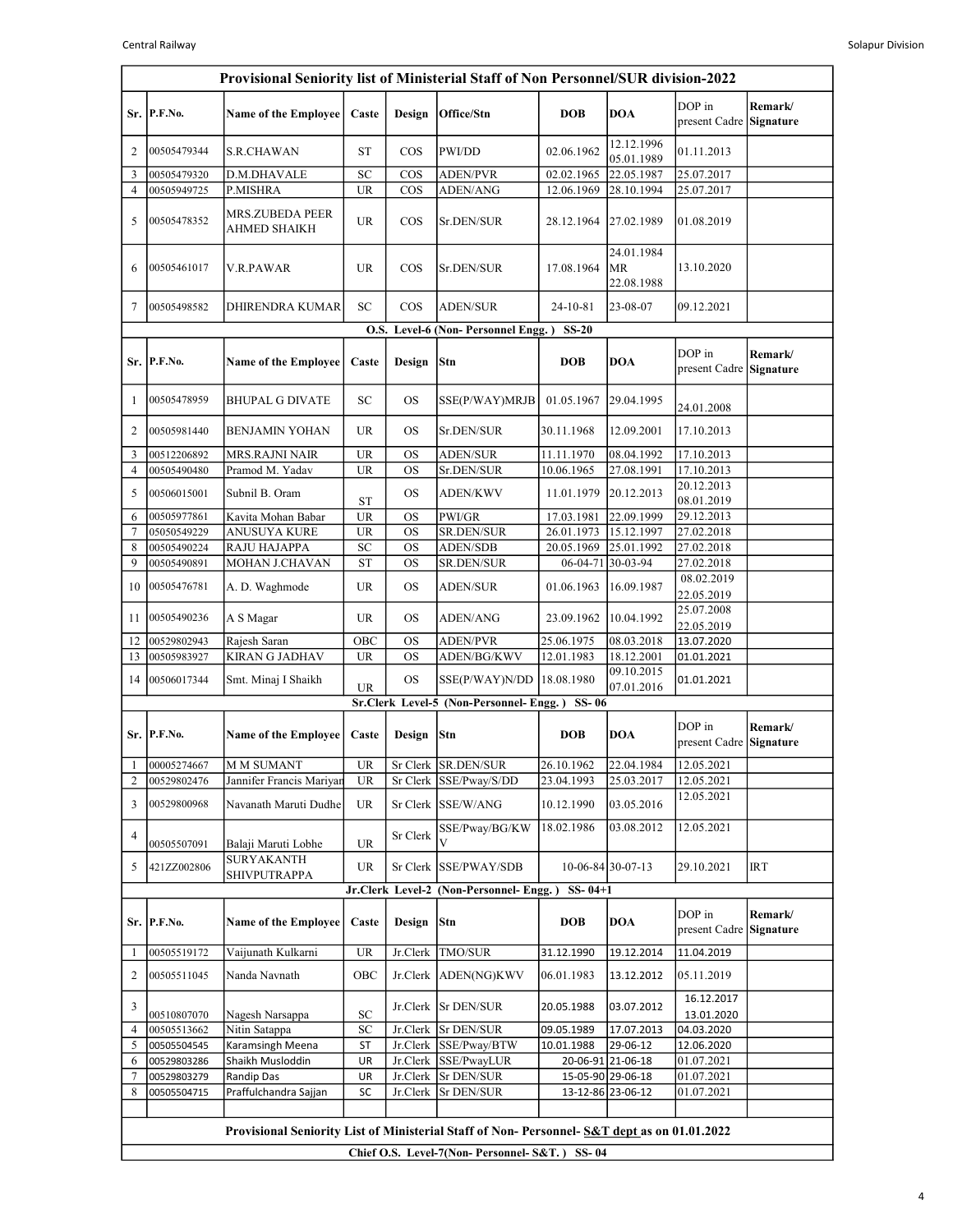|                | Provisional Seniority list of Ministerial Staff of Non Personnel/SUR division-2022 |                                                                                            |                 |           |                                               |                          |                                |                                   |                             |  |  |  |
|----------------|------------------------------------------------------------------------------------|--------------------------------------------------------------------------------------------|-----------------|-----------|-----------------------------------------------|--------------------------|--------------------------------|-----------------------------------|-----------------------------|--|--|--|
|                | Sr. P.F.No.                                                                        | <b>Name of the Employee</b>                                                                | Caste           | Design    | Office/Stn                                    | <b>DOB</b>               | <b>DOA</b>                     | DOP in<br>present Cadre           | Remark/<br>Signature        |  |  |  |
| 2              | 00505479344                                                                        | <b>S.R.CHAWAN</b>                                                                          | <b>ST</b>       | $\cos$    | PWI/DD                                        | 02.06.1962               | 12.12.1996<br>05.01.1989       | 01.11.2013                        |                             |  |  |  |
| 3              | 00505479320                                                                        | D.M.DHAVALE                                                                                | SC              | $\cos$    | <b>ADEN/PVR</b>                               | 02.02.1965               | 22.05.1987                     | 25.07.2017                        |                             |  |  |  |
| 4              | 00505949725                                                                        | P.MISHRA                                                                                   | <b>UR</b>       | COS       | ADEN/ANG                                      | 12.06.1969               | 28.10.1994                     | 25.07.2017                        |                             |  |  |  |
| 5              | 00505478352                                                                        | <b>MRS.ZUBEDA PEER</b><br><b>AHMED SHAIKH</b>                                              | <b>UR</b>       | $\cos$    | Sr.DEN/SUR                                    | 28.12.1964               | 27.02.1989                     | 01.08.2019                        |                             |  |  |  |
| 6              | 00505461017                                                                        | V.R.PAWAR                                                                                  | <b>UR</b>       | $\cos$    | Sr.DEN/SUR                                    | 17.08.1964               | 24.01.1984<br>MR<br>22.08.1988 | 13.10.2020                        |                             |  |  |  |
| 7              | 00505498582                                                                        | DHIRENDRA KUMAR                                                                            | SC              | $\cos$    | <b>ADEN/SUR</b>                               | 24-10-81                 | 23-08-07                       | 09.12.2021                        |                             |  |  |  |
|                | O.S. Level-6 (Non-Personnel Engg.)<br><b>SS-20</b>                                 |                                                                                            |                 |           |                                               |                          |                                |                                   |                             |  |  |  |
|                | Sr. P.F.No.                                                                        | <b>Name of the Employee</b>                                                                | Caste           | Design    | Stn                                           | <b>DOB</b>               | <b>DOA</b>                     | DOP in<br>present Cadre           | Remark/<br>Signature        |  |  |  |
| 1              | 00505478959                                                                        | <b>BHUPAL G DIVATE</b>                                                                     | SC              | <b>OS</b> | SSE(P/WAY)MRJB                                | 01.05.1967               | 29.04.1995                     | 24.01.2008                        |                             |  |  |  |
| 2              | 00505981440                                                                        | <b>BENJAMIN YOHAN</b>                                                                      | <b>UR</b>       | <b>OS</b> | Sr.DEN/SUR                                    | 30.11.1968               | 12.09.2001                     | 17.10.2013                        |                             |  |  |  |
| 3              | 00512206892                                                                        | <b>MRS.RAJNI NAIR</b>                                                                      | <b>UR</b>       | <b>OS</b> | <b>ADEN/SUR</b>                               | 11.11.1970               | 08.04.1992                     | 17.10.2013                        |                             |  |  |  |
| 4              | 00505490480                                                                        | Pramod M. Yadav                                                                            | <b>UR</b>       | <b>OS</b> | Sr.DEN/SUR                                    | 10.06.1965               | 27.08.1991                     | 17.10.2013                        |                             |  |  |  |
| 5              | 00506015001                                                                        | Subnil B. Oram                                                                             | <b>ST</b>       | <b>OS</b> | <b>ADEN/KWV</b>                               | 11.01.1979               | 20.12.2013                     | 20.12.2013<br>08.01.2019          |                             |  |  |  |
| 6              | 00505977861                                                                        | Kavita Mohan Babar                                                                         | <b>UR</b>       | <b>OS</b> | PWI/GR                                        | 17.03.1981               | 22.09.1999                     | 29.12.2013                        |                             |  |  |  |
| $\overline{7}$ | 05050549229                                                                        | <b>ANUSUYA KURE</b>                                                                        | <b>UR</b>       | <b>OS</b> | SR.DEN/SUR                                    | 26.01.1973               | 15.12.1997                     | 27.02.2018                        |                             |  |  |  |
| 8              | 00505490224                                                                        | <b>RAJU HAJAPPA</b>                                                                        | SC              | <b>OS</b> | <b>ADEN/SDB</b>                               | 20.05.1969               | 25.01.1992                     | 27.02.2018                        |                             |  |  |  |
| 9              | 00505490891                                                                        | MOHAN J.CHAVAN                                                                             | <b>ST</b>       | <b>OS</b> | SR.DEN/SUR                                    | 06-04-71                 | 30-03-94                       | 27.02.2018                        |                             |  |  |  |
| 10             | 00505476781                                                                        | A. D. Waghmode                                                                             | <b>UR</b>       | <b>OS</b> | <b>ADEN/SUR</b>                               | 01.06.1963               | 16.09.1987                     | 08.02.2019<br>22.05.2019          |                             |  |  |  |
| 11             | 00505490236                                                                        | A S Magar                                                                                  | <b>UR</b>       | <b>OS</b> | <b>ADEN/ANG</b>                               | 23.09.1962               | 10.04.1992                     | 25.07.2008<br>22.05.2019          |                             |  |  |  |
| 12             | 00529802943                                                                        | Rajesh Saran                                                                               | OBC             | <b>OS</b> | <b>ADEN/PVR</b>                               | 25.06.1975               | 08.03.2018                     | 13.07.2020                        |                             |  |  |  |
| 13             | 00505983927                                                                        | <b>KIRAN G JADHAV</b>                                                                      | <b>UR</b>       | <b>OS</b> | ADEN/BG/KWV                                   | 12.01.1983               | 18.12.2001                     | 01.01.2021                        |                             |  |  |  |
| 14             | 00506017344                                                                        | Smt. Minaj I Shaikh                                                                        | <b>UR</b>       | <b>OS</b> | SSE(P/WAY)N/DD                                | 18.08.1980               | 09.10.2015<br>07.01.2016       | 01.01.2021                        |                             |  |  |  |
|                |                                                                                    |                                                                                            |                 |           | Sr.Clerk Level-5 (Non-Personnel-Engg.)        | SS-06                    |                                |                                   |                             |  |  |  |
|                | Sr. P.F.No.                                                                        | <b>Name of the Employee</b>                                                                | Caste           | Design    | Stn                                           | <b>DOB</b>               | <b>DOA</b>                     | DOP in<br>present Cadre Signature | Remark/                     |  |  |  |
| 2              | 00005274667<br>00529802476                                                         | M M SUMANT<br>Jannifer Francis Mariyan                                                     | UR<br><b>UR</b> |           | Sr Clerk SR.DEN/SUR<br>Sr Clerk SSE/Pway/S/DD | 26.10.1962<br>23.04.1993 | 22.04.1984<br>25.03.2017       | 12.05.2021<br>12.05.2021          |                             |  |  |  |
|                |                                                                                    |                                                                                            |                 |           |                                               |                          |                                | 12.05.2021                        |                             |  |  |  |
| 3              | 00529800968                                                                        | Navanath Maruti Dudhe                                                                      | UR              |           | Sr Clerk SSE/W/ANG                            | 10.12.1990               | 03.05.2016                     |                                   |                             |  |  |  |
| 4              | 00505507091                                                                        | Balaji Maruti Lobhe                                                                        | <b>UR</b>       | Sr Clerk  | SSE/Pway/BG/KW<br>V                           | 18.02.1986               | 03.08.2012                     | 12.05.2021                        |                             |  |  |  |
| 5              | 421ZZ002806                                                                        | SURYAKANTH<br><b>SHIVPUTRAPPA</b>                                                          | UR              |           | Sr Clerk SSE/PWAY/SDB                         |                          | $10-06-84$ 30-07-13            | 29.10.2021                        | <b>IRT</b>                  |  |  |  |
|                |                                                                                    |                                                                                            |                 |           | Jr.Clerk Level-2 (Non-Personnel- Engg.)       | $SS - 04 + 1$            |                                |                                   |                             |  |  |  |
|                | Sr. P.F.No.                                                                        | <b>Name of the Employee</b>                                                                | Caste           | Design    | Stn                                           | <b>DOB</b>               | DOA                            | DOP in<br>present Cadre           | Remark/<br><b>Signature</b> |  |  |  |
| 1              | 00505519172                                                                        | Vaijunath Kulkarni                                                                         | <b>UR</b>       | Jr.Clerk  | TMO/SUR                                       | 31.12.1990               | 19.12.2014                     | 11.04.2019                        |                             |  |  |  |
| 2              | 00505511045                                                                        | Nanda Navnath                                                                              | OBC             |           | Jr.Clerk ADEN(NG)KWV                          | 06.01.1983               | 13.12.2012                     | 05.11.2019                        |                             |  |  |  |
| 3              | 00510807070                                                                        | Nagesh Narsappa                                                                            | ${\rm SC}$      |           | Jr.Clerk   Sr DEN/SUR                         | 20.05.1988               | 03.07.2012                     | 16.12.2017<br>13.01.2020          |                             |  |  |  |
| 4              | 00505513662                                                                        | Nitin Satappa                                                                              | SC              | Jr.Clerk  | Sr DEN/SUR                                    | 09.05.1989               | 17.07.2013                     | 04.03.2020                        |                             |  |  |  |
| 5              | 00505504545                                                                        | Karamsingh Meena                                                                           | ST              |           | Jr.Clerk SSE/Pway/BTW                         | 10.01.1988               | 29-06-12                       | 12.06.2020                        |                             |  |  |  |
| 6              | 00529803286                                                                        | Shaikh Musloddin                                                                           | UR              |           | Jr.Clerk SSE/PwayLUR                          |                          | 20-06-91 21-06-18              | 01.07.2021                        |                             |  |  |  |
| 7              | 00529803279                                                                        | Randip Das                                                                                 | UR              |           | Jr.Clerk Sr DEN/SUR                           |                          | 15-05-90 29-06-18              | 01.07.2021                        |                             |  |  |  |
| 8              | 00505504715                                                                        | Praffulchandra Sajjan                                                                      | SC              |           | Jr.Clerk Sr DEN/SUR                           |                          | 13-12-86 23-06-12              | 01.07.2021                        |                             |  |  |  |
|                |                                                                                    |                                                                                            |                 |           |                                               |                          |                                |                                   |                             |  |  |  |
|                |                                                                                    | Provisional Seniority List of Ministerial Staff of Non-Personnel-S&T dept as on 01.01.2022 |                 |           |                                               |                          |                                |                                   |                             |  |  |  |
|                |                                                                                    |                                                                                            |                 |           | Chief O.S. Level-7(Non-Personnel-S&T.) SS-04  |                          |                                |                                   |                             |  |  |  |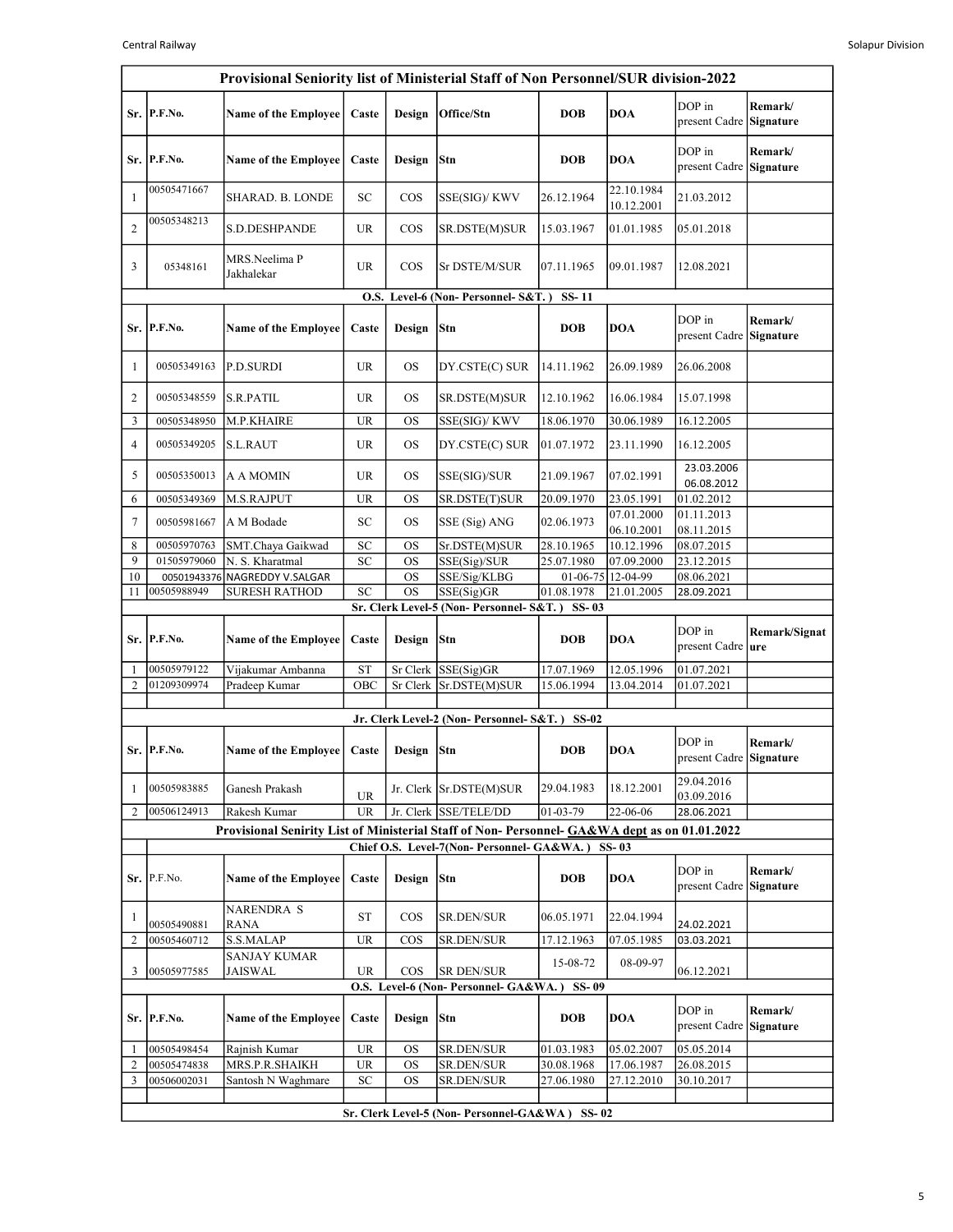|                | Provisional Seniority list of Ministerial Staff of Non Personnel/SUR division-2022 |                                                                                              |                                   |            |                                                  |                                 |                          |                                      |                      |  |  |
|----------------|------------------------------------------------------------------------------------|----------------------------------------------------------------------------------------------|-----------------------------------|------------|--------------------------------------------------|---------------------------------|--------------------------|--------------------------------------|----------------------|--|--|
|                | Sr. P.F.No.                                                                        | <b>Name of the Employee</b>                                                                  | Caste                             | Design     | Office/Stn                                       | <b>DOB</b>                      | <b>DOA</b>               | DOP in<br>present Cadre Signature    | Remark/              |  |  |
| Sr.            | P.F.No.                                                                            | <b>Name of the Employee</b>                                                                  | Caste                             | Design     | Stn                                              | <b>DOB</b>                      | <b>DOA</b>               | DOP in<br>present Cadre Signature    | Remark/              |  |  |
| $\mathbf{1}$   | 00505471667                                                                        | SHARAD. B. LONDE                                                                             | SC                                | $\cos$     | SSE(SIG)/ KWV                                    | 26.12.1964                      | 22.10.1984<br>10.12.2001 | 21.03.2012                           |                      |  |  |
| 2              | 00505348213                                                                        | S.D.DESHPANDE                                                                                | UR                                | $\cos$     | SR.DSTE(M)SUR                                    | 15.03.1967                      | 01.01.1985               | 05.01.2018                           |                      |  |  |
| 3              | 05348161                                                                           | MRS.Neelima P<br>Jakhalekar                                                                  | UR                                | $\cos$     | Sr DSTE/M/SUR                                    | 07.11.1965                      | 09.01.1987               | 12.08.2021                           |                      |  |  |
|                | O.S. Level-6 (Non-Personnel-S&T.)<br>SS-11                                         |                                                                                              |                                   |            |                                                  |                                 |                          |                                      |                      |  |  |
| Sr. I          | P.F.No.                                                                            | <b>Name of the Employee</b>                                                                  | Caste                             | Design     | <b>Stn</b>                                       | <b>DOB</b>                      | <b>DOA</b>               | DOP in<br>present Cadre Signature    | Remark/              |  |  |
| $\mathbf{1}$   | 00505349163                                                                        | P.D.SURDI                                                                                    | UR                                | <b>OS</b>  | DY.CSTE(C) SUR                                   | 14.11.1962                      | 26.09.1989               | 26.06.2008                           |                      |  |  |
| 2              | 00505348559                                                                        | <b>S.R.PATIL</b>                                                                             | <b>UR</b>                         | OS         | SR.DSTE(M)SUR                                    | 12.10.1962                      | 16.06.1984               | 15.07.1998                           |                      |  |  |
| 3              | 00505348950                                                                        | M.P.KHAIRE                                                                                   | <b>UR</b>                         | <b>OS</b>  | SSE(SIG)/ KWV                                    | 18.06.1970                      | 30.06.1989               | 16.12.2005                           |                      |  |  |
| 4              | 00505349205                                                                        | <b>S.L.RAUT</b>                                                                              | <b>UR</b>                         | <b>OS</b>  | DY.CSTE(C) SUR                                   | 01.07.1972                      | 23.11.1990               | 16.12.2005                           |                      |  |  |
| 5              | 00505350013                                                                        | <b>A A MOMIN</b>                                                                             | <b>UR</b>                         | OS         | SSE(SIG)/SUR                                     | 21.09.1967                      | 07.02.1991               | 23.03.2006<br>06.08.2012             |                      |  |  |
| 6              | 00505349369                                                                        | M.S.RAJPUT                                                                                   | <b>UR</b>                         | <b>OS</b>  | SR.DSTE(T)SUR                                    | 20.09.1970                      | 23.05.1991               | 01.02.2012                           |                      |  |  |
| 7              | 00505981667                                                                        | A M Bodade                                                                                   | SC                                | OS         | SSE (Sig) ANG                                    | 02.06.1973                      | 07.01.2000<br>06.10.2001 | 01.11.2013<br>08.11.2015             |                      |  |  |
| 8              | 00505970763                                                                        | SMT.Chaya Gaikwad                                                                            | SC                                | OS         | Sr.DSTE(M)SUR                                    | 28.10.1965                      | 10.12.1996               | 08.07.2015                           |                      |  |  |
| 9              | 01505979060                                                                        | N. S. Kharatmal                                                                              | <b>SC</b>                         | <b>OS</b>  | SSE(Sig)/SUR                                     | 25.07.1980                      | 07.09.2000               | 23.12.2015                           |                      |  |  |
| 10<br>11       | 00501943376<br>00505988949                                                         | NAGREDDY V.SALGAR<br><b>SURESH RATHOD</b>                                                    | SC                                | OS<br>OS   | SSE/Sig/KLBG<br>SSE(Sig)GR                       | 01-06-75 12-04-99<br>01.08.1978 | 21.01.2005               | 08.06.2021<br>28.09.2021             |                      |  |  |
|                |                                                                                    |                                                                                              |                                   |            | Sr. Clerk Level-5 (Non- Personnel- S&T.)         | $SS-03$                         |                          |                                      |                      |  |  |
| Sr. I          | P.F.No.                                                                            | <b>Name of the Employee</b>                                                                  | Caste                             | Design     | Stn                                              | <b>DOB</b>                      | <b>DOA</b>               | DOP in<br>present Cadre   <b>ure</b> | Remark/Signat        |  |  |
| 1              | 00505979122                                                                        | Vijakumar Ambanna                                                                            | <b>ST</b>                         |            | Sr Clerk SSE(Sig)GR                              | 17.07.1969                      | 12.05.1996               | 01.07.2021                           |                      |  |  |
| 2              | 01209309974                                                                        | Pradeep Kumar                                                                                | OBC                               |            | Sr Clerk Sr.DSTE(M)SUR                           | 15.06.1994                      | 13.04.2014               | 01.07.2021                           |                      |  |  |
|                |                                                                                    |                                                                                              |                                   |            |                                                  |                                 |                          |                                      |                      |  |  |
|                |                                                                                    |                                                                                              |                                   |            | Jr. Clerk Level-2 (Non- Personnel- S&T.) SS-02   |                                 |                          |                                      |                      |  |  |
|                | Sr. P.F.No.                                                                        | Name of the Employee                                                                         | Caste                             | Design Stn |                                                  | <b>DOB</b>                      | <b>DOA</b>               | DOP in<br>present Cadre Signature    | Remark/              |  |  |
| 1              | 00505983885                                                                        | Ganesh Prakash                                                                               | <b>UR</b>                         |            | Jr. Clerk Sr.DSTE(M)SUR                          | 29.04.1983                      | 18.12.2001               | 29.04.2016<br>03.09.2016             |                      |  |  |
| 2              | 00506124913                                                                        | Rakesh Kumar                                                                                 | <b>UR</b>                         |            | Jr. Clerk SSE/TELE/DD                            | 01-03-79                        | 22-06-06                 | 28.06.2021                           |                      |  |  |
|                |                                                                                    | Provisional Senirity List of Ministerial Staff of Non-Personnel- GA&WA dept as on 01.01.2022 |                                   |            |                                                  |                                 |                          |                                      |                      |  |  |
|                |                                                                                    |                                                                                              |                                   |            | Chief O.S. Level-7(Non- Personnel- GA&WA.) SS-03 |                                 |                          |                                      |                      |  |  |
|                | Sr. P.F.No.                                                                        | <b>Name of the Employee</b>                                                                  | Caste                             | Design     | <b>Stn</b>                                       | <b>DOB</b>                      | <b>DOA</b>               | DOP in<br>present Cadre              | Remark/<br>Signature |  |  |
| $\mathbf{1}$   | 00505490881                                                                        | <b>NARENDRA S</b><br>RANA                                                                    | ST                                | $\cos$     | <b>SR.DEN/SUR</b>                                | 06.05.1971                      | 22.04.1994               | 24.02.2021                           |                      |  |  |
| $\overline{c}$ | 00505460712                                                                        | S.S.MALAP                                                                                    | <b>UR</b>                         | <b>COS</b> | SR.DEN/SUR                                       | 17.12.1963                      | 07.05.1985               | 03.03.2021                           |                      |  |  |
| 3              | 00505977585                                                                        | <b>SANJAY KUMAR</b><br><b>JAISWAL</b>                                                        | UR                                | $\cos$     | <b>SR DEN/SUR</b>                                | 15-08-72                        | 08-09-97                 | 06.12.2021                           |                      |  |  |
|                |                                                                                    |                                                                                              |                                   |            | O.S. Level-6 (Non-Personnel- GA&WA.) SS-09       |                                 |                          |                                      |                      |  |  |
| Sr. I          | P.F.No.                                                                            | <b>Name of the Employee</b>                                                                  | Caste                             | Design     | Stn                                              | <b>DOB</b>                      | <b>DOA</b>               | DOP in<br>present Cadre Signature    | Remark/              |  |  |
| 1              | 00505498454                                                                        | Rajnish Kumar                                                                                | $\ensuremath{\mathsf{UR}}\xspace$ | OS         | SR.DEN/SUR                                       | 01.03.1983                      | 05.02.2007               | 05.05.2014                           |                      |  |  |
| $\overline{2}$ | 00505474838                                                                        | MRS.P.R.SHAIKH                                                                               | UR                                | <b>OS</b>  | SR.DEN/SUR                                       | 30.08.1968                      | 17.06.1987               | 26.08.2015                           |                      |  |  |
| 3              | 00506002031                                                                        | Santosh N Waghmare                                                                           | SC                                | OS         | SR.DEN/SUR                                       | 27.06.1980                      | 27.12.2010               | 30.10.2017                           |                      |  |  |
|                |                                                                                    |                                                                                              |                                   |            | Sr. Clerk Level-5 (Non- Personnel-GA&WA) SS-02   |                                 |                          |                                      |                      |  |  |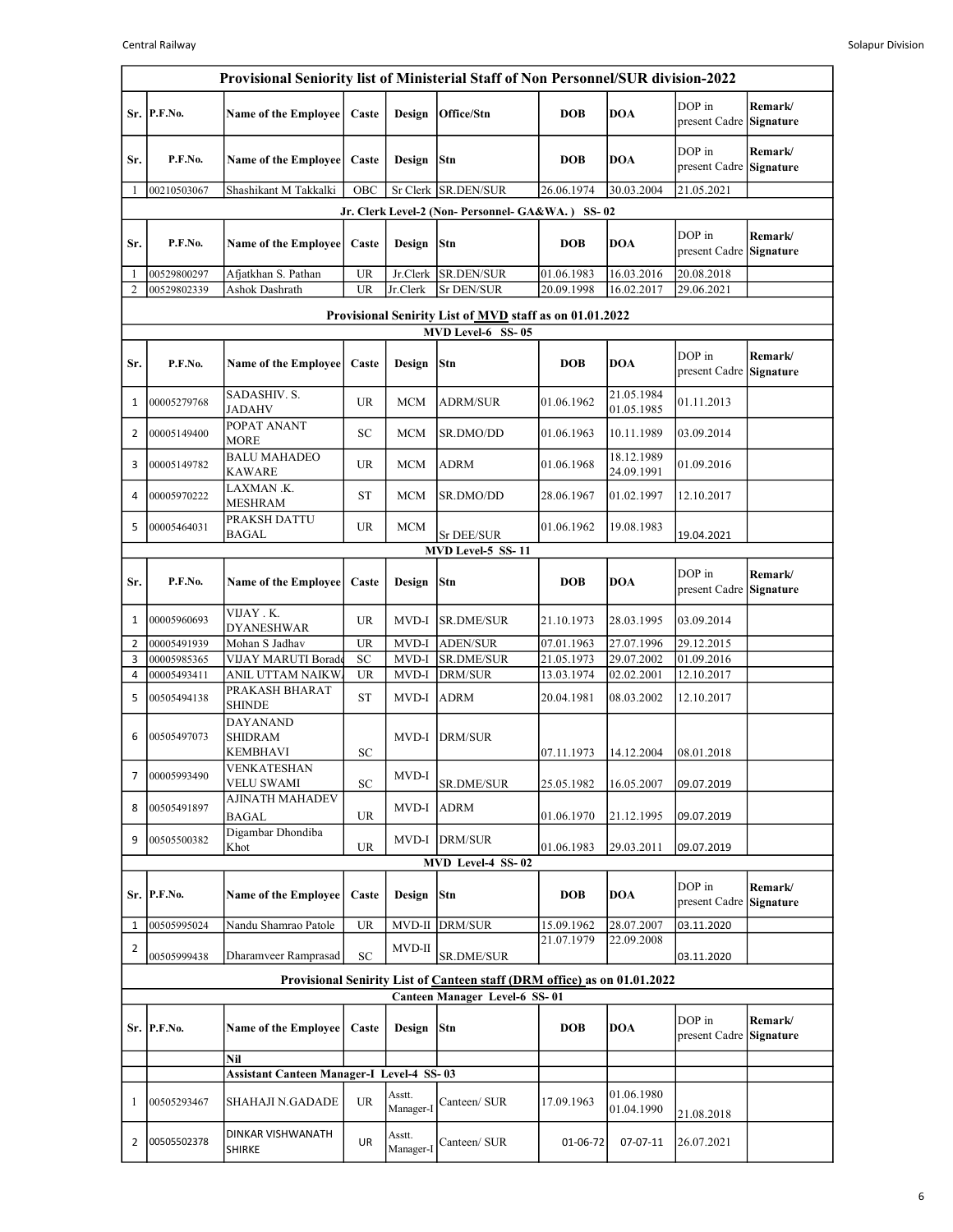|                | Provisional Seniority list of Ministerial Staff of Non Personnel/SUR division-2022 |                                                      |           |                     |                                                                          |                          |                          |                          |                             |  |  |  |
|----------------|------------------------------------------------------------------------------------|------------------------------------------------------|-----------|---------------------|--------------------------------------------------------------------------|--------------------------|--------------------------|--------------------------|-----------------------------|--|--|--|
| Sr.            | P.F.No.                                                                            | <b>Name of the Employee</b>                          | Caste     | Design              | Office/Stn                                                               | <b>DOB</b>               | <b>DOA</b>               | DOP in<br>present Cadre  | Remark/<br><b>Signature</b> |  |  |  |
| Sr.            | P.F.No.                                                                            | Name of the Employee                                 | Caste     | Design              | Stn                                                                      | <b>DOB</b>               | <b>DOA</b>               | DOP in<br>present Cadre  | Remark/<br>Signature        |  |  |  |
| 1              | 00210503067                                                                        | Shashikant M Takkalki                                | OBC       | Sr Clerk            | SR.DEN/SUR                                                               | 26.06.1974               | 30.03.2004               | 21.05.2021               |                             |  |  |  |
|                |                                                                                    |                                                      |           |                     | Jr. Clerk Level-2 (Non- Personnel- GA&WA.) SS-02                         |                          |                          |                          |                             |  |  |  |
| Sr.            | P.F.No.                                                                            | <b>Name of the Employee</b>                          | Caste     | Design              | Stn                                                                      | <b>DOB</b>               | <b>DOA</b>               | DOP in<br>present Cadre  | Remark/<br>Signature        |  |  |  |
| 1              | 00529800297                                                                        | Afjatkhan S. Pathan                                  | <b>UR</b> | Jr.Clerk            | SR.DEN/SUR<br><b>Sr DEN/SUR</b>                                          | 01.06.1983               | 16.03.2016<br>16.02.2017 | 20.08.2018<br>29.06.2021 |                             |  |  |  |
| 2              | 00529802339<br>Ashok Dashrath<br><b>UR</b><br>Jr.Clerk<br>20.09.1998               |                                                      |           |                     |                                                                          |                          |                          |                          |                             |  |  |  |
|                | Provisional Senirity List of MVD staff as on 01.01.2022                            |                                                      |           |                     |                                                                          |                          |                          |                          |                             |  |  |  |
| Sr.            | P.F.No.                                                                            | <b>Name of the Employee</b>                          | Caste     | Design              | MVD Level-6 SS-05<br>Stn                                                 | <b>DOB</b>               | <b>DOA</b>               | DOP in<br>present Cadre  | Remark/<br>Signature        |  |  |  |
| 1              | 00005279768                                                                        | SADASHIV. S.<br>JADAHV                               | <b>UR</b> | <b>MCM</b>          | <b>ADRM/SUR</b>                                                          | 01.06.1962               | 21.05.1984<br>01.05.1985 | 01.11.2013               |                             |  |  |  |
| $\overline{2}$ | 00005149400                                                                        | POPAT ANANT<br><b>MORE</b>                           | SC        | <b>MCM</b>          | SR.DMO/DD                                                                | 01.06.1963               | 10.11.1989               | 03.09.2014               |                             |  |  |  |
| 3              | 00005149782                                                                        | <b>BALU MAHADEO</b><br><b>KAWARE</b>                 | <b>UR</b> | <b>MCM</b>          | ADRM                                                                     | 01.06.1968               | 18.12.1989<br>24.09.1991 | 01.09.2016               |                             |  |  |  |
| 4              | 00005970222                                                                        | LAXMAN .K.<br><b>MESHRAM</b>                         | <b>ST</b> | <b>MCM</b>          | SR.DMO/DD                                                                | 28.06.1967               | 01.02.1997               | 12.10.2017               |                             |  |  |  |
| 5              | 00005464031                                                                        | PRAKSH DATTU<br><b>BAGAL</b>                         | <b>UR</b> | <b>MCM</b>          | Sr DEE/SUR                                                               | 01.06.1962               | 19.08.1983               | 19.04.2021               |                             |  |  |  |
|                | MVD Level-5 SS-11                                                                  |                                                      |           |                     |                                                                          |                          |                          |                          |                             |  |  |  |
| Sr.            | P.F.No.                                                                            | <b>Name of the Employee</b>                          | Caste     | Design              | Stn                                                                      | <b>DOB</b>               | <b>DOA</b>               | DOP in<br>present Cadre  | Remark/<br>Signature        |  |  |  |
| 1              | 00005960693                                                                        | VIJAY . K.<br><b>DYANESHWAR</b>                      | <b>UR</b> | MVD-I               | <b>SR.DME/SUR</b>                                                        | 21.10.1973               | 28.03.1995               | 03.09.2014               |                             |  |  |  |
| $\overline{2}$ | 00005491939                                                                        | Mohan S Jadhav                                       | <b>UR</b> | MVD-I               | <b>ADEN/SUR</b>                                                          | 07.01.1963               | 27.07.1996               | 29.12.2015               |                             |  |  |  |
| 3<br>4         | 00005985365<br>00005493411                                                         | VIJAY MARUTI Borade<br>ANIL UTTAM NAIKW.             | SC<br>UR  | MVD-I<br>MVD-I      | SR.DME/SUR<br><b>DRM/SUR</b>                                             | 21.05.1973<br>13.03.1974 | 29.07.2002<br>02.02.2001 | 01.09.2016<br>12.10.2017 |                             |  |  |  |
| 5              | 00505494138                                                                        | PRAKASH BHARAT<br><b>SHINDE</b>                      | <b>ST</b> | MVD-I               | ADRM                                                                     | 20.04.1981               | 08.03.2002               | 12.10.2017               |                             |  |  |  |
| 6              | 00505497073                                                                        | <b>DAYANAND</b><br><b>SHIDRAM</b><br><b>KEMBHAVI</b> | SC        | MVD-I               | <b>DRM/SUR</b>                                                           | 07.11.1973               | 14.12.2004               | 08.01.2018               |                             |  |  |  |
| 7              | 00005993490                                                                        | VENKATESHAN<br>VELU SWAMI                            | SC        | MVD-I               | <b>SR.DME/SUR</b>                                                        | 25.05.1982               | 16.05.2007               | 09.07.2019               |                             |  |  |  |
| 8              | 00505491897                                                                        | <b>AJINATH MAHADEV</b><br>BAGAL                      | <b>UR</b> | MVD-I               | <b>ADRM</b>                                                              | 01.06.1970               | 21.12.1995               | 09.07.2019               |                             |  |  |  |
| 9              | 00505500382                                                                        | Digambar Dhondiba<br>Khot                            | UR.       | MVD-I               | DRM/SUR                                                                  | 01.06.1983               | 29.03.2011               | 09.07.2019               |                             |  |  |  |
|                |                                                                                    |                                                      |           |                     | MVD Level-4 SS-02                                                        |                          |                          |                          |                             |  |  |  |
| Sr.            | P.F.No.                                                                            | <b>Name of the Employee</b>                          | Caste     | Design              | Stn                                                                      | <b>DOB</b>               | <b>DOA</b>               | DOP in<br>present Cadre  | Remark/<br>Signature        |  |  |  |
| $\mathbf{1}$   | 00505995024                                                                        | Nandu Shamrao Patole                                 | <b>UR</b> | MVD-II              | DRM/SUR                                                                  | 15.09.1962               | 28.07.2007               | 03.11.2020               |                             |  |  |  |
| 2              | 00505999438                                                                        | Dharamveer Ramprasad                                 | SC        | MVD-II              | SR.DME/SUR                                                               | 21.07.1979               | 22.09.2008               | 03.11.2020               |                             |  |  |  |
|                |                                                                                    |                                                      |           |                     | Provisional Senirity List of Canteen staff (DRM office) as on 01.01.2022 |                          |                          |                          |                             |  |  |  |
|                |                                                                                    |                                                      |           |                     | Canteen Manager Level-6 SS-01                                            |                          |                          |                          |                             |  |  |  |
| Sr.            | P.F.No.                                                                            | <b>Name of the Employee</b>                          | Caste     | Design              | Stn                                                                      | <b>DOB</b>               | <b>DOA</b>               | DOP in<br>present Cadre  | Remark/<br>Signature        |  |  |  |
|                |                                                                                    | Nil                                                  |           |                     |                                                                          |                          |                          |                          |                             |  |  |  |
|                |                                                                                    | <b>Assistant Canteen Manager-I Level-4 SS-03</b>     |           |                     |                                                                          |                          |                          |                          |                             |  |  |  |
| 1              | 00505293467                                                                        | SHAHAJI N.GADADE                                     | <b>UR</b> | Asstt.<br>Manager-l | Canteen/ SUR                                                             | 17.09.1963               | 01.06.1980<br>01.04.1990 | 21.08.2018               |                             |  |  |  |
| 2              | 00505502378                                                                        | DINKAR VISHWANATH<br><b>SHIRKE</b>                   | <b>UR</b> | Asstt.<br>Manager-I | Canteen/ SUR                                                             | 01-06-72                 | 07-07-11                 | 26.07.2021               |                             |  |  |  |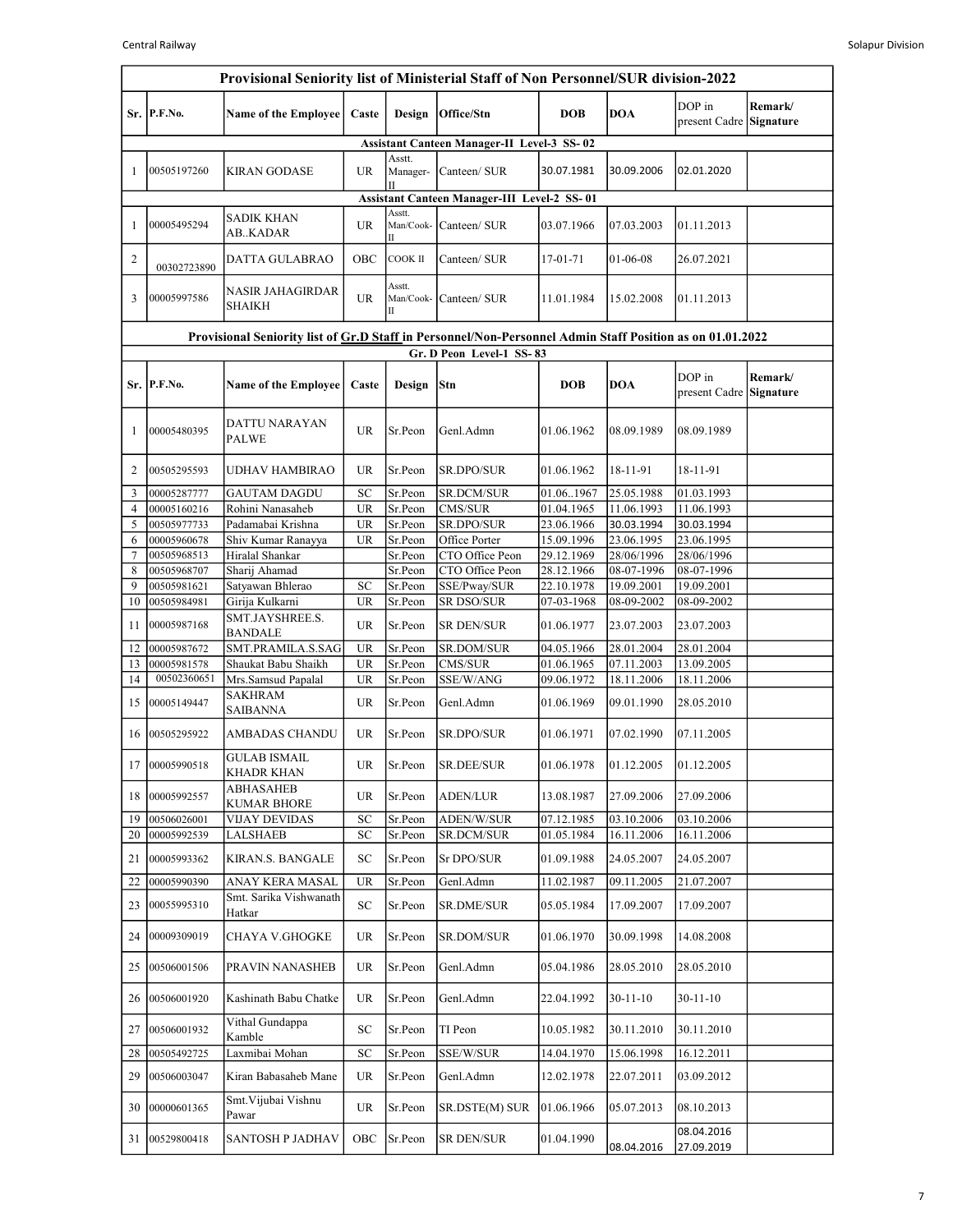|          | Provisional Seniority list of Ministerial Staff of Non Personnel/SUR division-2022                                                    |                                                       |                                   |                          |                                                    |                          |                          |                                   |                      |  |  |
|----------|---------------------------------------------------------------------------------------------------------------------------------------|-------------------------------------------------------|-----------------------------------|--------------------------|----------------------------------------------------|--------------------------|--------------------------|-----------------------------------|----------------------|--|--|
|          | Sr. P.F.No.                                                                                                                           | <b>Name of the Employee</b>                           | Caste                             | Design                   | Office/Stn                                         | <b>DOB</b>               | <b>DOA</b>               | DOP in<br>present Cadre           | Remark/<br>Signature |  |  |
|          |                                                                                                                                       |                                                       |                                   |                          | <b>Assistant Canteen Manager-II Level-3 SS-02</b>  |                          |                          |                                   |                      |  |  |
| 1        | 00505197260                                                                                                                           | <b>KIRAN GODASE</b>                                   | UR                                | Asstt.<br>Manager-       | Canteen/ SUR                                       | 30.07.1981               | 30.09.2006               | 02.01.2020                        |                      |  |  |
|          |                                                                                                                                       |                                                       |                                   |                          | <b>Assistant Canteen Manager-III Level-2 SS-01</b> |                          |                          |                                   |                      |  |  |
| 1        | 00005495294                                                                                                                           | <b>SADIK KHAN</b><br>AB. KADAR                        | UR                                | Asstt.                   | Man/Cook- Canteen/ SUR                             | 03.07.1966               | 07.03.2003               | 01.11.2013                        |                      |  |  |
| 2        | 00302723890                                                                                                                           | DATTA GULABRAO                                        | OBC                               | COOK II                  | Canteen/ SUR                                       | 17-01-71                 | 01-06-08                 | 26.07.2021                        |                      |  |  |
| 3        | 00005997586                                                                                                                           | <b>NASIR JAHAGIRDAR</b><br><b>SHAIKH</b>              | UR                                | Asstt.<br>Man/Cook-<br>Π | Canteen/ SUR                                       | 11.01.1984               | 15.02.2008               | 01.11.2013                        |                      |  |  |
|          |                                                                                                                                       |                                                       |                                   |                          |                                                    |                          |                          |                                   |                      |  |  |
|          | Provisional Seniority list of Gr.D Staff in Personnel/Non-Personnel Admin Staff Position as on 01.01.2022<br>Gr. D Peon Level-1 SS-83 |                                                       |                                   |                          |                                                    |                          |                          |                                   |                      |  |  |
| Sr.      | P.F.No.                                                                                                                               | <b>Name of the Employee</b>                           | Caste                             | Design                   | Stn                                                | <b>DOB</b>               | <b>DOA</b>               | DOP in<br>present Cadre Signature | Remark/              |  |  |
| 1        | 00005480395                                                                                                                           | DATTU NARAYAN<br><b>PALWE</b>                         | <b>UR</b>                         | Sr.Peon                  | Genl.Admn                                          | 01.06.1962               | 08.09.1989               | 08.09.1989                        |                      |  |  |
| 2        | 00505295593                                                                                                                           | UDHAV HAMBIRAO                                        | UR                                | Sr.Peon                  | SR.DPO/SUR                                         | 01.06.1962               | 18-11-91                 | 18-11-91                          |                      |  |  |
| 3        | 00005287777                                                                                                                           | <b>GAUTAM DAGDU</b>                                   | SC                                | Sr.Peon                  | <b>SR.DCM/SUR</b>                                  | 01.061967                | 25.05.1988               | 01.03.1993                        |                      |  |  |
| 4        | 00005160216                                                                                                                           | Rohini Nanasaheb                                      | <b>UR</b>                         | Sr.Peon                  | CMS/SUR                                            | 01.04.1965               | 11.06.1993               | 11.06.1993                        |                      |  |  |
| 5        | 00505977733                                                                                                                           | Padamabai Krishna                                     | <b>UR</b>                         | Sr.Peon                  | SR.DPO/SUR                                         | 23.06.1966               | 30.03.1994               | 30.03.1994                        |                      |  |  |
| 6<br>7   | 00005960678<br>00505968513                                                                                                            | Shiv Kumar Ranayya<br>Hiralal Shankar                 | UR                                | Sr.Peon<br>Sr.Peon       | Office Porter<br>CTO Office Peon                   | 15.09.1996<br>29.12.1969 | 23.06.1995<br>28/06/1996 | 23.06.1995<br>28/06/1996          |                      |  |  |
| 8        | 00505968707                                                                                                                           | Sharij Ahamad                                         |                                   | Sr.Peon                  | CTO Office Peon                                    | 28.12.1966               | 08-07-1996               | 08-07-1996                        |                      |  |  |
| 9        | 00505981621                                                                                                                           | Satyawan Bhlerao                                      | SC                                | Sr.Peon                  | SSE/Pway/SUR                                       | 22.10.1978               | 19.09.2001               | 19.09.2001                        |                      |  |  |
| 10       | 00505984981                                                                                                                           | Girija Kulkarni                                       | UR                                | Sr.Peon                  | SR DSO/SUR                                         | 07-03-1968               | 08-09-2002               | 08-09-2002                        |                      |  |  |
| 11       | 00005987168                                                                                                                           | SMT.JAYSHREE.S.<br><b>BANDALE</b>                     | <b>UR</b>                         | Sr.Peon                  | <b>SR DEN/SUR</b>                                  | 01.06.1977               | 23.07.2003               | 23.07.2003                        |                      |  |  |
| 12       | 00005987672                                                                                                                           | SMT.PRAMILA.S.SAG                                     | <b>UR</b>                         | Sr.Peon                  | <b>SR.DOM/SUR</b>                                  | 04.05.1966               | 28.01.2004               | 28.01.2004                        |                      |  |  |
| 13       | 00005981578                                                                                                                           | Shaukat Babu Shaikh                                   | $\ensuremath{\mathsf{UR}}\xspace$ | Sr.Peon                  | CMS/SUR                                            | 01.06.1965               | 07.11.2003               | 13.09.2005                        |                      |  |  |
| 14       | 00502360651                                                                                                                           | Mrs.Samsud Papalal                                    | UR                                | Sr.Peon                  | SSE/W/ANG                                          | 09.06.1972               | 18.11.2006               | 18.11.2006                        |                      |  |  |
| 15       | 00005149447                                                                                                                           | <b>SAKHRAM</b><br><b>SAIBANNA</b>                     | UR                                | Sr.Peon                  | Genl.Admn                                          | 01.06.1969               | 09.01.1990               | 28.05.2010                        |                      |  |  |
| 16       | 00505295922                                                                                                                           | AMBADAS CHANDU                                        | UR                                | Sr.Peon                  | SR.DPO/SUR                                         | 01.06.1971               | 07.02.1990               | 07.11.2005                        |                      |  |  |
| 17       | 00005990518                                                                                                                           | <b>GULAB ISMAIL</b><br>KHADR KHAN<br><b>ABHASAHEB</b> | UR                                | Sr.Peon                  | SR.DEE/SUR                                         | 01.06.1978               | 01.12.2005               | 01.12.2005                        |                      |  |  |
| 18       | 00005992557                                                                                                                           | <b>KUMAR BHORE</b>                                    | UR                                | Sr.Peon                  | <b>ADEN/LUR</b>                                    | 13.08.1987               | 27.09.2006               | 27.09.2006                        |                      |  |  |
| 19       | 00506026001                                                                                                                           | VIJAY DEVIDAS                                         | SC                                | Sr.Peon                  | <b>ADEN/W/SUR</b>                                  | 07.12.1985               | 03.10.2006               | 03.10.2006                        |                      |  |  |
| 20       | 00005992539                                                                                                                           | <b>LALSHAEB</b>                                       | SC                                | Sr.Peon                  | SR.DCM/SUR                                         | 01.05.1984               | 16.11.2006               | 16.11.2006                        |                      |  |  |
| 21<br>22 | 00005993362<br>00005990390                                                                                                            | KIRAN.S. BANGALE<br>ANAY KERA MASAL                   | SС<br><b>UR</b>                   | Sr.Peon<br>Sr.Peon       | Sr DPO/SUR<br>Genl.Admn                            | 01.09.1988<br>11.02.1987 | 24.05.2007<br>09.11.2005 | 24.05.2007<br>21.07.2007          |                      |  |  |
| 23       | 00055995310                                                                                                                           | Smt. Sarika Vishwanath<br>Hatkar                      | SC                                | Sr.Peon                  | <b>SR.DME/SUR</b>                                  | 05.05.1984               | 17.09.2007               | 17.09.2007                        |                      |  |  |
| 24       | 00009309019                                                                                                                           | CHAYA V.GHOGKE                                        | UR                                | Sr.Peon                  | <b>SR.DOM/SUR</b>                                  | 01.06.1970               | 30.09.1998               | 14.08.2008                        |                      |  |  |
| 25       | 00506001506                                                                                                                           | PRAVIN NANASHEB                                       | UR                                | Sr.Peon                  | Genl.Admn                                          | 05.04.1986               | 28.05.2010               | 28.05.2010                        |                      |  |  |
| 26       | 00506001920                                                                                                                           | Kashinath Babu Chatke                                 | UR                                | Sr.Peon                  | Genl.Admn                                          | 22.04.1992               | $30 - 11 - 10$           | $30 - 11 - 10$                    |                      |  |  |
| 27       | 00506001932                                                                                                                           | Vithal Gundappa<br>Kamble                             | SC                                | Sr.Peon                  | TI Peon                                            | 10.05.1982               | 30.11.2010               | 30.11.2010                        |                      |  |  |
| 28       | 00505492725                                                                                                                           | Laxmibai Mohan                                        | SC                                | Sr.Peon                  | SSE/W/SUR                                          | 14.04.1970               | 15.06.1998               | 16.12.2011                        |                      |  |  |
| 29       | 00506003047                                                                                                                           | Kiran Babasaheb Mane                                  | UR                                | Sr.Peon                  | Genl.Admn                                          | 12.02.1978               | 22.07.2011               | 03.09.2012                        |                      |  |  |
| 30       | 00000601365                                                                                                                           | Smt. Vijubai Vishnu<br>Pawar                          | UR                                | Sr.Peon                  | SR.DSTE(M) SUR                                     | 01.06.1966               | 05.07.2013               | 08.10.2013                        |                      |  |  |
| 31       | 00529800418                                                                                                                           | <b>SANTOSH P JADHAV</b>                               | OBC                               | Sr.Peon                  | SR DEN/SUR                                         | 01.04.1990               | 08.04.2016               | 08.04.2016<br>27.09.2019          |                      |  |  |